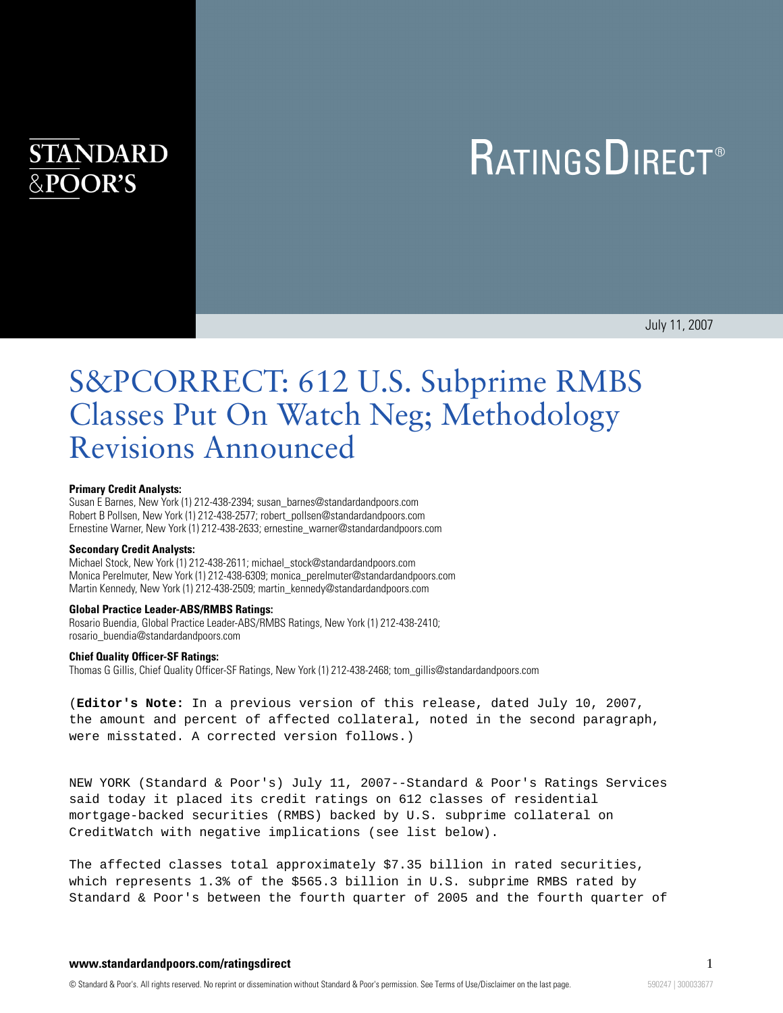# **STANDARD** &POOR'S

# **RATINGSDIRECT®**

July 11, 2007

# S&PCORRECT: 612 U.S. Subprime RMBS Classes Put On Watch Neg; Methodology Revisions Announced

#### **Primary Credit Analysts:**

Susan E Barnes, New York (1) 212-438-2394; susan\_barnes@standardandpoors.com Robert B Pollsen, New York (1) 212-438-2577; robert\_pollsen@standardandpoors.com Ernestine Warner, New York (1) 212-438-2633; ernestine\_warner@standardandpoors.com

#### **Secondary Credit Analysts:**

Michael Stock, New York (1) 212-438-2611; michael\_stock@standardandpoors.com Monica Perelmuter, New York (1) 212-438-6309; monica\_perelmuter@standardandpoors.com Martin Kennedy, New York (1) 212-438-2509; martin\_kennedy@standardandpoors.com

#### **Global Practice Leader-ABS/RMBS Ratings:**

Rosario Buendia, Global Practice Leader-ABS/RMBS Ratings, New York (1) 212-438-2410; rosario\_buendia@standardandpoors.com

#### **Chief Quality Officer-SF Ratings:**

Thomas G Gillis, Chief Quality Officer-SF Ratings, New York (1) 212-438-2468; tom\_gillis@standardandpoors.com

(**Editor's Note:** In a previous version of this release, dated July 10, 2007, the amount and percent of affected collateral, noted in the second paragraph, were misstated. A corrected version follows.)

NEW YORK (Standard & Poor's) July 11, 2007--Standard & Poor's Ratings Services said today it placed its credit ratings on 612 classes of residential mortgage-backed securities (RMBS) backed by U.S. subprime collateral on CreditWatch with negative implications (see list below).

The affected classes total approximately \$7.35 billion in rated securities, which represents 1.3% of the \$565.3 billion in U.S. subprime RMBS rated by Standard & Poor's between the fourth quarter of 2005 and the fourth quarter of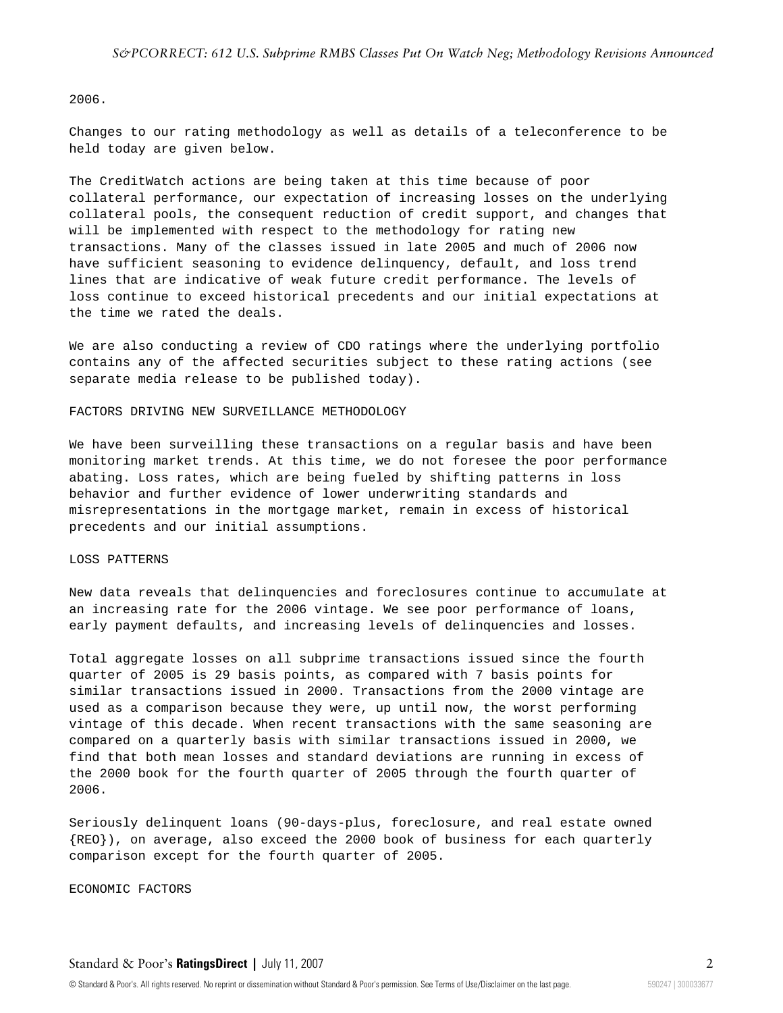#### 2006.

Changes to our rating methodology as well as details of a teleconference to be held today are given below.

The CreditWatch actions are being taken at this time because of poor collateral performance, our expectation of increasing losses on the underlying collateral pools, the consequent reduction of credit support, and changes that will be implemented with respect to the methodology for rating new transactions. Many of the classes issued in late 2005 and much of 2006 now have sufficient seasoning to evidence delinquency, default, and loss trend lines that are indicative of weak future credit performance. The levels of loss continue to exceed historical precedents and our initial expectations at the time we rated the deals.

We are also conducting a review of CDO ratings where the underlying portfolio contains any of the affected securities subject to these rating actions (see separate media release to be published today).

#### FACTORS DRIVING NEW SURVEILLANCE METHODOLOGY

We have been surveilling these transactions on a regular basis and have been monitoring market trends. At this time, we do not foresee the poor performance abating. Loss rates, which are being fueled by shifting patterns in loss behavior and further evidence of lower underwriting standards and misrepresentations in the mortgage market, remain in excess of historical precedents and our initial assumptions.

#### LOSS PATTERNS

New data reveals that delinquencies and foreclosures continue to accumulate at an increasing rate for the 2006 vintage. We see poor performance of loans, early payment defaults, and increasing levels of delinquencies and losses.

Total aggregate losses on all subprime transactions issued since the fourth quarter of 2005 is 29 basis points, as compared with 7 basis points for similar transactions issued in 2000. Transactions from the 2000 vintage are used as a comparison because they were, up until now, the worst performing vintage of this decade. When recent transactions with the same seasoning are compared on a quarterly basis with similar transactions issued in 2000, we find that both mean losses and standard deviations are running in excess of the 2000 book for the fourth quarter of 2005 through the fourth quarter of 2006.

Seriously delinquent loans (90-days-plus, foreclosure, and real estate owned {REO}), on average, also exceed the 2000 book of business for each quarterly comparison except for the fourth quarter of 2005.

ECONOMIC FACTORS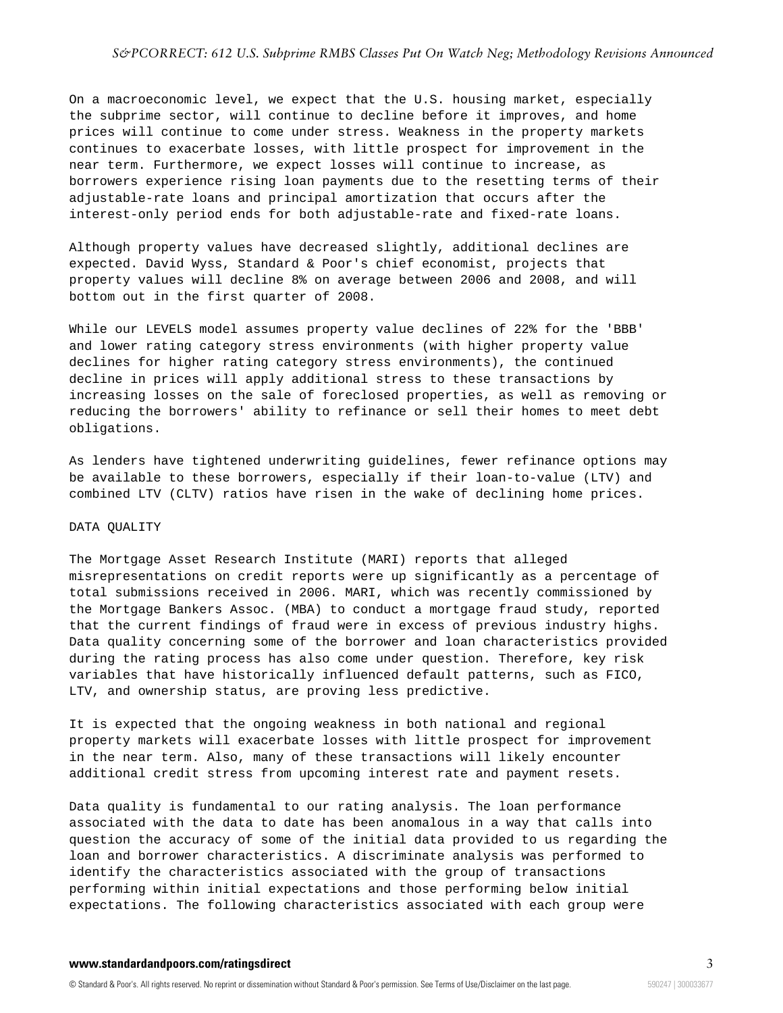#### *S&PCORRECT: 612 U.S. Subprime RMBS Classes Put On Watch Neg; Methodology Revisions Announced*

On a macroeconomic level, we expect that the U.S. housing market, especially the subprime sector, will continue to decline before it improves, and home prices will continue to come under stress. Weakness in the property markets continues to exacerbate losses, with little prospect for improvement in the near term. Furthermore, we expect losses will continue to increase, as borrowers experience rising loan payments due to the resetting terms of their adjustable-rate loans and principal amortization that occurs after the interest-only period ends for both adjustable-rate and fixed-rate loans.

Although property values have decreased slightly, additional declines are expected. David Wyss, Standard & Poor's chief economist, projects that property values will decline 8% on average between 2006 and 2008, and will bottom out in the first quarter of 2008.

While our LEVELS model assumes property value declines of 22% for the 'BBB' and lower rating category stress environments (with higher property value declines for higher rating category stress environments), the continued decline in prices will apply additional stress to these transactions by increasing losses on the sale of foreclosed properties, as well as removing or reducing the borrowers' ability to refinance or sell their homes to meet debt obligations.

As lenders have tightened underwriting guidelines, fewer refinance options may be available to these borrowers, especially if their loan-to-value (LTV) and combined LTV (CLTV) ratios have risen in the wake of declining home prices.

#### DATA QUALITY

The Mortgage Asset Research Institute (MARI) reports that alleged misrepresentations on credit reports were up significantly as a percentage of total submissions received in 2006. MARI, which was recently commissioned by the Mortgage Bankers Assoc. (MBA) to conduct a mortgage fraud study, reported that the current findings of fraud were in excess of previous industry highs. Data quality concerning some of the borrower and loan characteristics provided during the rating process has also come under question. Therefore, key risk variables that have historically influenced default patterns, such as FICO, LTV, and ownership status, are proving less predictive.

It is expected that the ongoing weakness in both national and regional property markets will exacerbate losses with little prospect for improvement in the near term. Also, many of these transactions will likely encounter additional credit stress from upcoming interest rate and payment resets.

Data quality is fundamental to our rating analysis. The loan performance associated with the data to date has been anomalous in a way that calls into question the accuracy of some of the initial data provided to us regarding the loan and borrower characteristics. A discriminate analysis was performed to identify the characteristics associated with the group of transactions performing within initial expectations and those performing below initial expectations. The following characteristics associated with each group were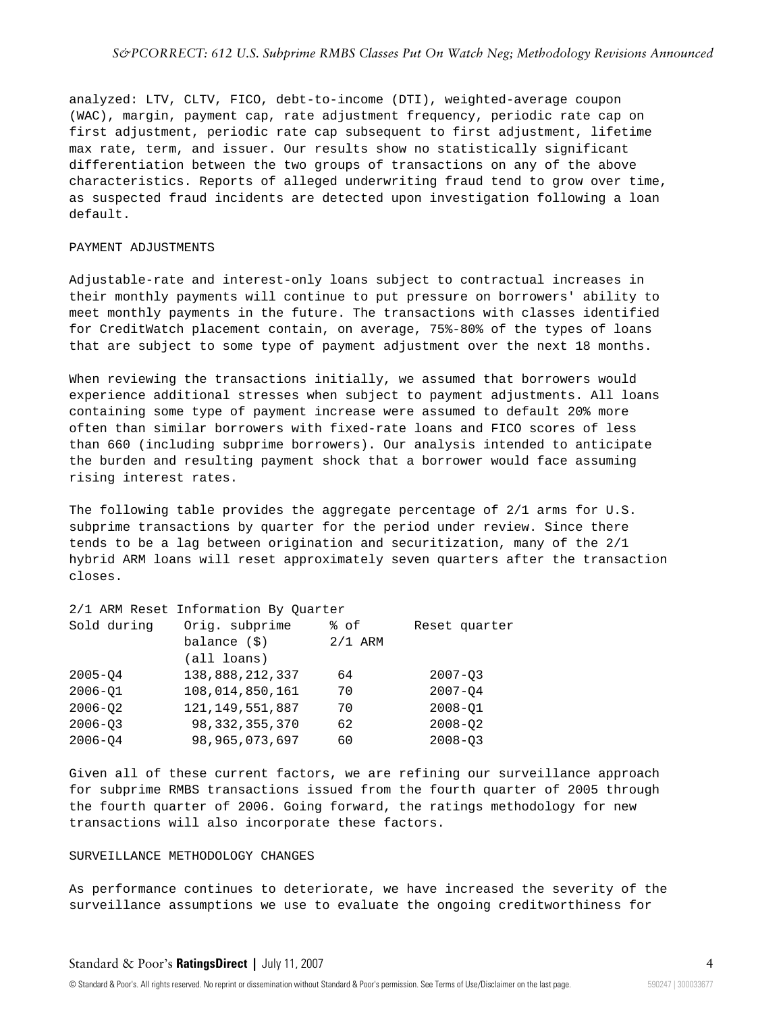analyzed: LTV, CLTV, FICO, debt-to-income (DTI), weighted-average coupon (WAC), margin, payment cap, rate adjustment frequency, periodic rate cap on first adjustment, periodic rate cap subsequent to first adjustment, lifetime max rate, term, and issuer. Our results show no statistically significant differentiation between the two groups of transactions on any of the above characteristics. Reports of alleged underwriting fraud tend to grow over time, as suspected fraud incidents are detected upon investigation following a loan default.

# PAYMENT ADJUSTMENTS

Adjustable-rate and interest-only loans subject to contractual increases in their monthly payments will continue to put pressure on borrowers' ability to meet monthly payments in the future. The transactions with classes identified for CreditWatch placement contain, on average, 75%-80% of the types of loans that are subject to some type of payment adjustment over the next 18 months.

When reviewing the transactions initially, we assumed that borrowers would experience additional stresses when subject to payment adjustments. All loans containing some type of payment increase were assumed to default 20% more often than similar borrowers with fixed-rate loans and FICO scores of less than 660 (including subprime borrowers). Our analysis intended to anticipate the burden and resulting payment shock that a borrower would face assuming rising interest rates.

The following table provides the aggregate percentage of 2/1 arms for U.S. subprime transactions by quarter for the period under review. Since there tends to be a lag between origination and securitization, many of the 2/1 hybrid ARM loans will reset approximately seven quarters after the transaction closes.

#### 2/1 ARM Reset Information By Quarter

| Sold during | Orig. subprime     | % of      | Reset quarter |
|-------------|--------------------|-----------|---------------|
|             | balance $(\$)$     | $2/1$ ARM |               |
|             | (all loans)        |           |               |
| $2005 - 04$ | 138,888,212,337    | 64        | $2007 - 03$   |
| $2006 - 01$ | 108,014,850,161    | 70        | $2007 - 04$   |
| $2006 - 02$ | 121, 149, 551, 887 | 70        | $2008 - 01$   |
| $2006 - 03$ | 98, 332, 355, 370  | 62        | $2008 - 02$   |
| $2006 - 04$ | 98, 965, 073, 697  | 60        | $2008 - 03$   |

Given all of these current factors, we are refining our surveillance approach for subprime RMBS transactions issued from the fourth quarter of 2005 through the fourth quarter of 2006. Going forward, the ratings methodology for new transactions will also incorporate these factors.

#### SURVEILLANCE METHODOLOGY CHANGES

As performance continues to deteriorate, we have increased the severity of the surveillance assumptions we use to evaluate the ongoing creditworthiness for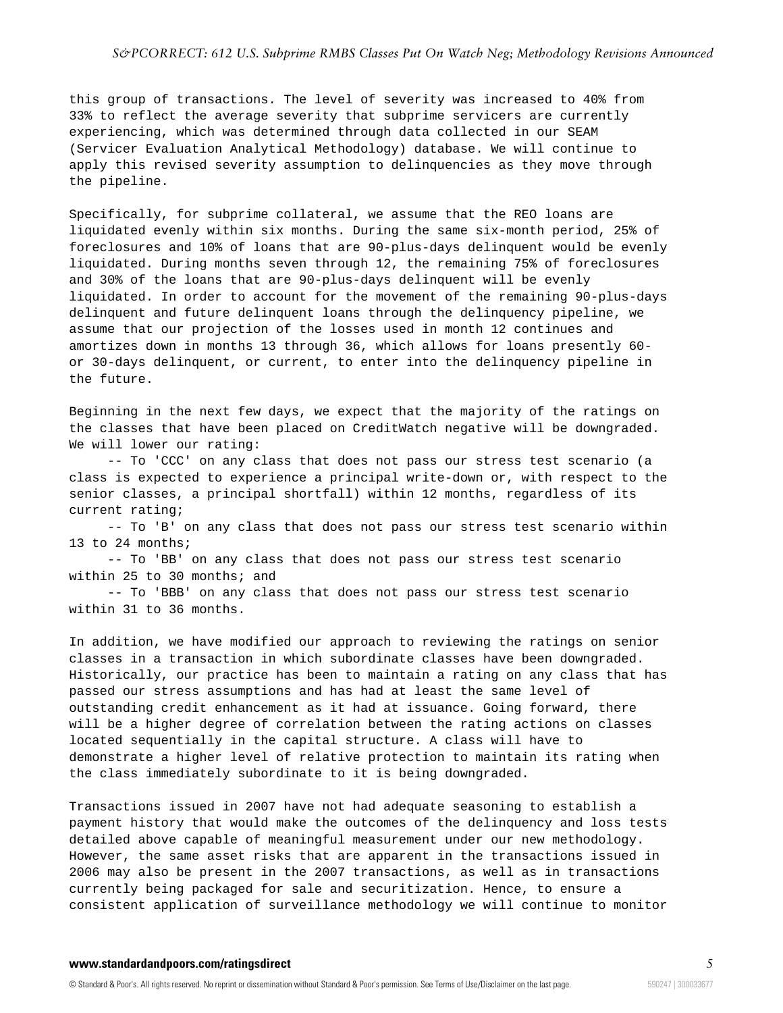#### *S&PCORRECT: 612 U.S. Subprime RMBS Classes Put On Watch Neg; Methodology Revisions Announced*

this group of transactions. The level of severity was increased to 40% from 33% to reflect the average severity that subprime servicers are currently experiencing, which was determined through data collected in our SEAM (Servicer Evaluation Analytical Methodology) database. We will continue to apply this revised severity assumption to delinquencies as they move through the pipeline.

Specifically, for subprime collateral, we assume that the REO loans are liquidated evenly within six months. During the same six-month period, 25% of foreclosures and 10% of loans that are 90-plus-days delinquent would be evenly liquidated. During months seven through 12, the remaining 75% of foreclosures and 30% of the loans that are 90-plus-days delinquent will be evenly liquidated. In order to account for the movement of the remaining 90-plus-days delinquent and future delinquent loans through the delinquency pipeline, we assume that our projection of the losses used in month 12 continues and amortizes down in months 13 through 36, which allows for loans presently 60 or 30-days delinquent, or current, to enter into the delinquency pipeline in the future.

Beginning in the next few days, we expect that the majority of the ratings on the classes that have been placed on CreditWatch negative will be downgraded. We will lower our rating:

-- To 'CCC' on any class that does not pass our stress test scenario (a class is expected to experience a principal write-down or, with respect to the senior classes, a principal shortfall) within 12 months, regardless of its current rating;

-- To 'B' on any class that does not pass our stress test scenario within 13 to 24 months;

-- To 'BB' on any class that does not pass our stress test scenario within 25 to 30 months; and

-- To 'BBB' on any class that does not pass our stress test scenario within 31 to 36 months.

In addition, we have modified our approach to reviewing the ratings on senior classes in a transaction in which subordinate classes have been downgraded. Historically, our practice has been to maintain a rating on any class that has passed our stress assumptions and has had at least the same level of outstanding credit enhancement as it had at issuance. Going forward, there will be a higher degree of correlation between the rating actions on classes located sequentially in the capital structure. A class will have to demonstrate a higher level of relative protection to maintain its rating when the class immediately subordinate to it is being downgraded.

Transactions issued in 2007 have not had adequate seasoning to establish a payment history that would make the outcomes of the delinquency and loss tests detailed above capable of meaningful measurement under our new methodology. However, the same asset risks that are apparent in the transactions issued in 2006 may also be present in the 2007 transactions, as well as in transactions currently being packaged for sale and securitization. Hence, to ensure a consistent application of surveillance methodology we will continue to monitor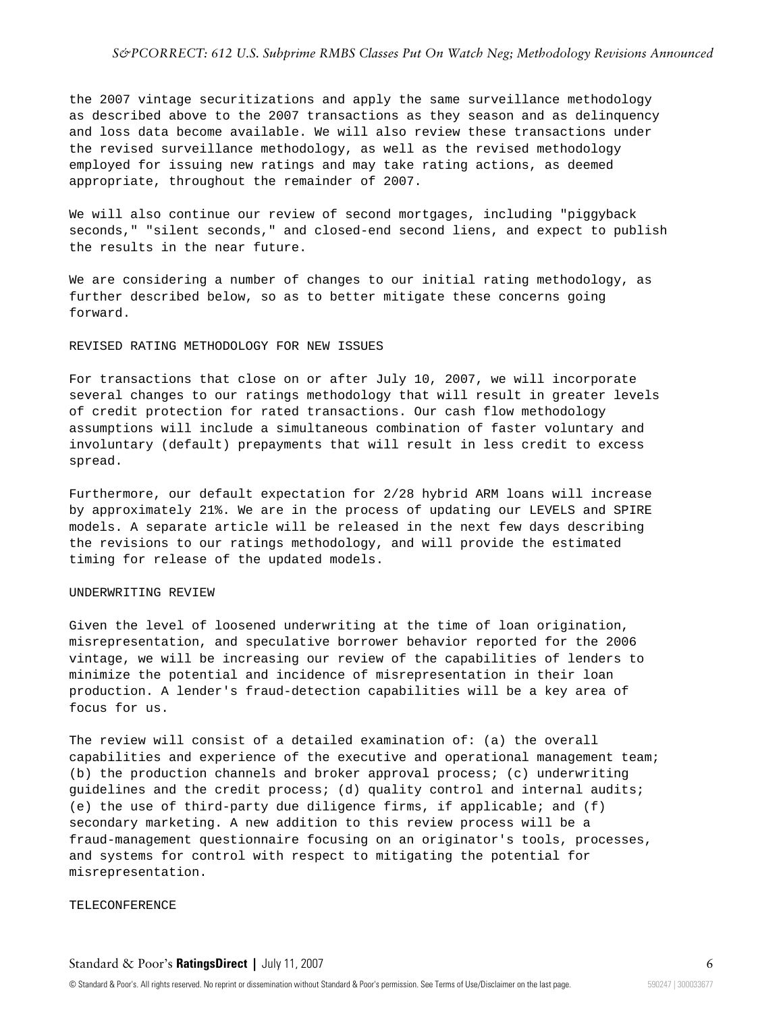#### *S&PCORRECT: 612 U.S. Subprime RMBS Classes Put On Watch Neg; Methodology Revisions Announced*

the 2007 vintage securitizations and apply the same surveillance methodology as described above to the 2007 transactions as they season and as delinquency and loss data become available. We will also review these transactions under the revised surveillance methodology, as well as the revised methodology employed for issuing new ratings and may take rating actions, as deemed appropriate, throughout the remainder of 2007.

We will also continue our review of second mortgages, including "piggyback seconds," "silent seconds," and closed-end second liens, and expect to publish the results in the near future.

We are considering a number of changes to our initial rating methodology, as further described below, so as to better mitigate these concerns going forward.

#### REVISED RATING METHODOLOGY FOR NEW ISSUES

For transactions that close on or after July 10, 2007, we will incorporate several changes to our ratings methodology that will result in greater levels of credit protection for rated transactions. Our cash flow methodology assumptions will include a simultaneous combination of faster voluntary and involuntary (default) prepayments that will result in less credit to excess spread.

Furthermore, our default expectation for 2/28 hybrid ARM loans will increase by approximately 21%. We are in the process of updating our LEVELS and SPIRE models. A separate article will be released in the next few days describing the revisions to our ratings methodology, and will provide the estimated timing for release of the updated models.

#### UNDERWRITING REVIEW

Given the level of loosened underwriting at the time of loan origination, misrepresentation, and speculative borrower behavior reported for the 2006 vintage, we will be increasing our review of the capabilities of lenders to minimize the potential and incidence of misrepresentation in their loan production. A lender's fraud-detection capabilities will be a key area of focus for us.

The review will consist of a detailed examination of: (a) the overall capabilities and experience of the executive and operational management team; (b) the production channels and broker approval process; (c) underwriting guidelines and the credit process; (d) quality control and internal audits; (e) the use of third-party due diligence firms, if applicable; and (f) secondary marketing. A new addition to this review process will be a fraud-management questionnaire focusing on an originator's tools, processes, and systems for control with respect to mitigating the potential for misrepresentation.

#### TELECONFERENCE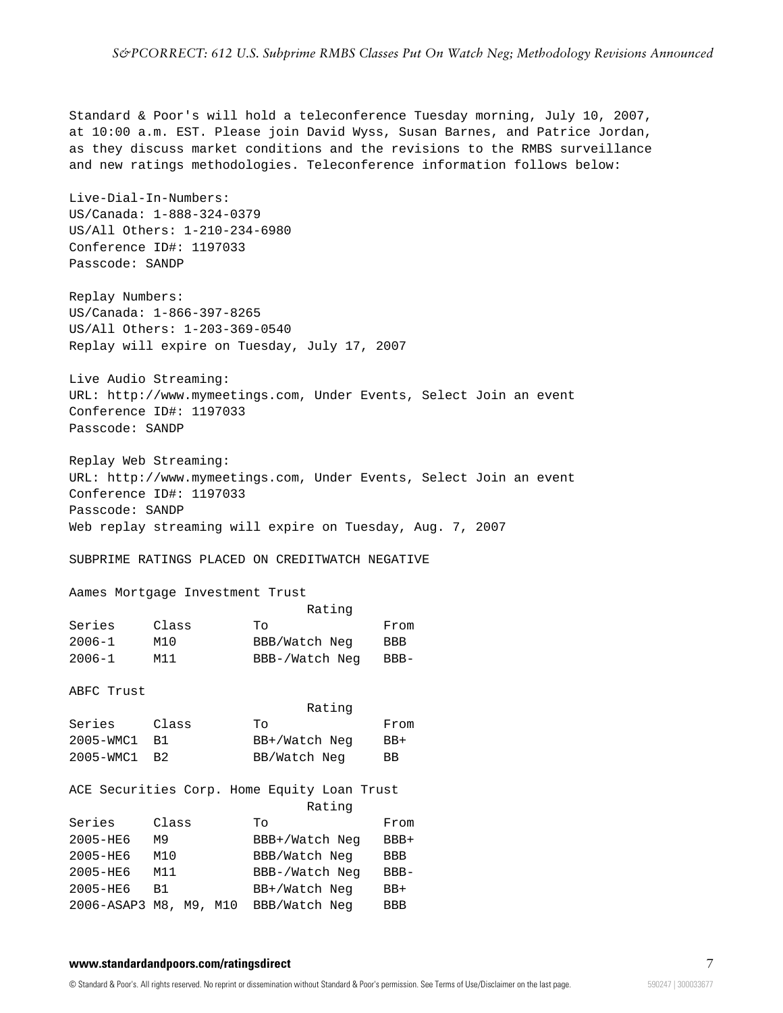Standard & Poor's will hold a teleconference Tuesday morning, July 10, 2007, at 10:00 a.m. EST. Please join David Wyss, Susan Barnes, and Patrice Jordan, as they discuss market conditions and the revisions to the RMBS surveillance and new ratings methodologies. Teleconference information follows below:

Live-Dial-In-Numbers: US/Canada: 1-888-324-0379 US/All Others: 1-210-234-6980 Conference ID#: 1197033 Passcode: SANDP

Replay Numbers: US/Canada: 1-866-397-8265 US/All Others: 1-203-369-0540 Replay will expire on Tuesday, July 17, 2007

Live Audio Streaming: URL: http://www.mymeetings.com, Under Events, Select Join an event Conference ID#: 1197033 Passcode: SANDP

Replay Web Streaming: URL: http://www.mymeetings.com, Under Events, Select Join an event Conference ID#: 1197033 Passcode: SANDP Web replay streaming will expire on Tuesday, Aug. 7, 2007

SUBPRIME RATINGS PLACED ON CREDITWATCH NEGATIVE

Aames Mortgage Investment Trust

|            |       | Rating         |        |
|------------|-------|----------------|--------|
| Series     | Class | TΟ             | From   |
| $2006 - 1$ | M10   | BBB/Watch Neg  | BBB    |
| $2006 - 1$ | M11   | BBB-/Watch Neg | $BBB-$ |

ABFC Trust

|              |       | Rating        |           |
|--------------|-------|---------------|-----------|
| Series       | Class | Tο            | From      |
| 2005-WMC1 B1 |       | BB+/Watch Neg | $BB+$     |
| 2005-WMC1 B2 |       | BB/Watch Neg  | <b>BB</b> |

|                    |       | ACE Securities Corp. Home Equity Loan Trust |            |
|--------------------|-------|---------------------------------------------|------------|
|                    |       | Rating                                      |            |
| Series             | Class | To                                          | From       |
| 2005-HE6           | M9    | BBB+/Watch Neg                              | $BBB+$     |
| 2005-HE6           | M10   | BBB/Watch Neg                               | BBB        |
| 2005-HE6           | M11   | BBB-/Watch Neg                              | $BBB -$    |
| 2005-HE6           | B1.   | BB+/Watch Neg                               | $BB+$      |
| 2006-ASAP3 M8, M9, |       | BBB/Watch Neg<br>M10                        | <b>BBB</b> |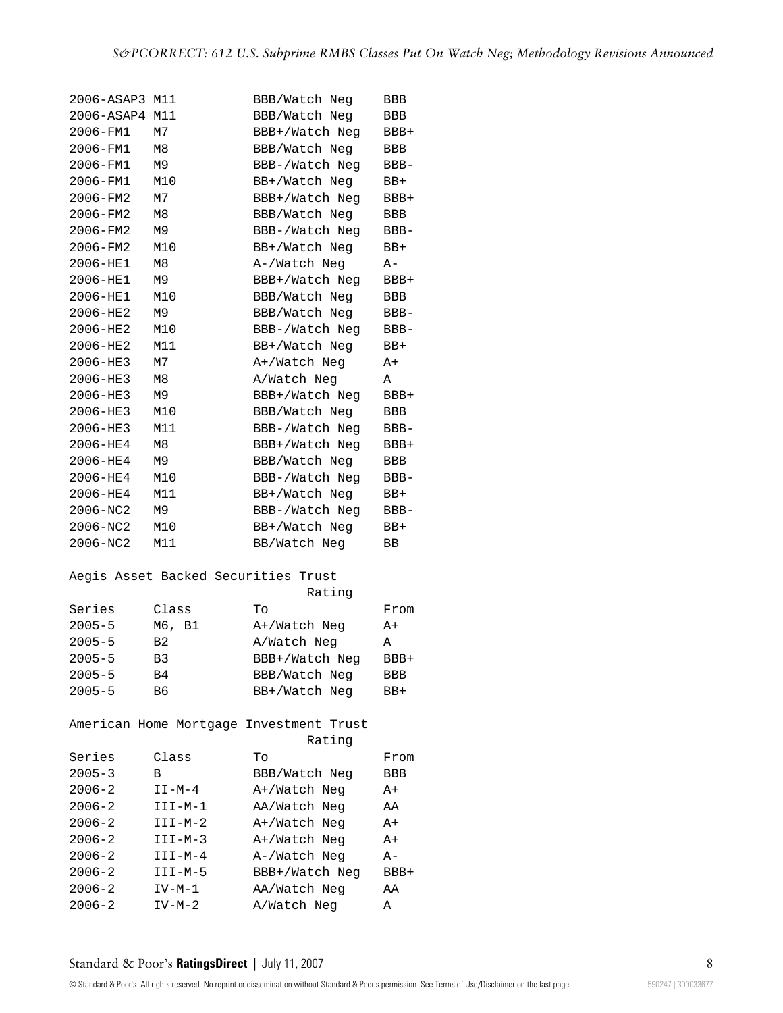| 2006-ASAP3 | M11                           | BBB/Watch Neg                           | BBB        |
|------------|-------------------------------|-----------------------------------------|------------|
| 2006-ASAP4 | M11                           | BBB/Watch Neg                           | <b>BBB</b> |
| 2006-FM1   | M7                            | BBB+/Watch Neg                          | BBB+       |
| 2006-FM1   | M8                            | BBB/Watch Neg                           | BBB        |
| 2006-FM1   | M9                            | BBB-/Watch Neq                          | BBB-       |
| 2006-FM1   | M10                           | BB+/Watch Neg                           | BB+        |
| 2006-FM2   | М7                            | BBB+/Watch Neg                          | BBB+       |
| 2006-FM2   | M8                            | BBB/Watch Neg                           | BBB        |
| 2006-FM2   | M9                            | BBB-/Watch Neq                          | BBB-       |
| 2006-FM2   | M10                           | BB+/Watch Neg                           | BB+        |
| 2006-HE1   | M8                            | A-/Watch Neg                            | A-         |
| 2006-HE1   | M9                            | BBB+/Watch Neg                          | BBB+       |
| 2006-HE1   | M10                           | BBB/Watch Neg                           | BBB        |
| 2006-HE2   | М9                            | BBB/Watch Neg                           | BBB-       |
| 2006-HE2   | M10                           | BBB-/Watch Neg                          | BBB-       |
| 2006-HE2   | M11                           | BB+/Watch Neg                           | BB+        |
| 2006-HE3   | M7                            | A+/Watch Neg                            | A+         |
| 2006-HE3   | М8                            | A/Watch Neg                             | Α          |
| 2006-HE3   | M9                            | BBB+/Watch Neg                          | BBB+       |
| 2006-HE3   | M10                           | BBB/Watch Neg                           | BBB        |
| 2006-HE3   | M11                           | BBB-/Watch Neg                          | BBB-       |
| 2006-HE4   | M <sub>8</sub>                | BBB+/Watch Neg                          | BBB+       |
| 2006-HE4   | M9                            | BBB/Watch Neg                           | BBB        |
| 2006-HE4   | M10                           | BBB-/Watch Neg                          | BBB-       |
| 2006-HE4   | M11                           | BB+/Watch Neg                           | BB+        |
| 2006-NC2   | M9                            | BBB-/Watch Neg                          | BBB-       |
| 2006-NC2   | M10                           | BB+/Watch Neg                           | BB+        |
| 2006-NC2   | M11                           | BB/Watch Neg                            | ВB         |
|            |                               |                                         |            |
|            | Aegis Asset Backed Securities | Trust                                   |            |
|            |                               | Rating                                  |            |
| Series     | Class                         | Tо                                      | From       |
| $2005 - 5$ | M6, B1                        | A+/Watch Neg                            | $A+$       |
| $2005 - 5$ | B2                            | A/Watch Neg                             | Α          |
| $2005 - 5$ | B3                            | BBB+/Watch Neg                          | BBB+       |
| $2005 - 5$ | Β4                            | BBB/Watch Neg                           | BBB        |
| $2005 - 5$ | B6                            | BB+/Watch Neg                           | BB+        |
|            |                               |                                         |            |
|            |                               | American Home Mortgage Investment Trust |            |
|            |                               | Rating                                  |            |
| Series     | Class                         | Τo                                      | From       |
| $2005 - 3$ | В                             | BBB/Watch Neg                           | BBB        |
| $2006 - 2$ | $I I - M - 4$                 | A+/Watch Neg                            | A+         |
| $2006 - 2$ | $III-M-1$                     | AA/Watch Neg                            | ΑA         |
| $2006 - 2$ | $III-M-2$                     | A+/Watch Neg                            | A+         |
| $2006 - 2$ | $III-M-3$                     | A+/Watch Neg                            | A+         |
| $2006 - 2$ | $III-M-4$                     | A-/Watch Neg                            | A-         |
| $2006 - 2$ | $III-M-5$                     | BBB+/Watch Neg                          | BBB+       |
| $2006 - 2$ | $IV-M-1$                      | AA/Watch Neg                            | ΑA         |
| $2006 - 2$ | $IV-M-2$                      | A/Watch Neg                             |            |
|            |                               |                                         | Α          |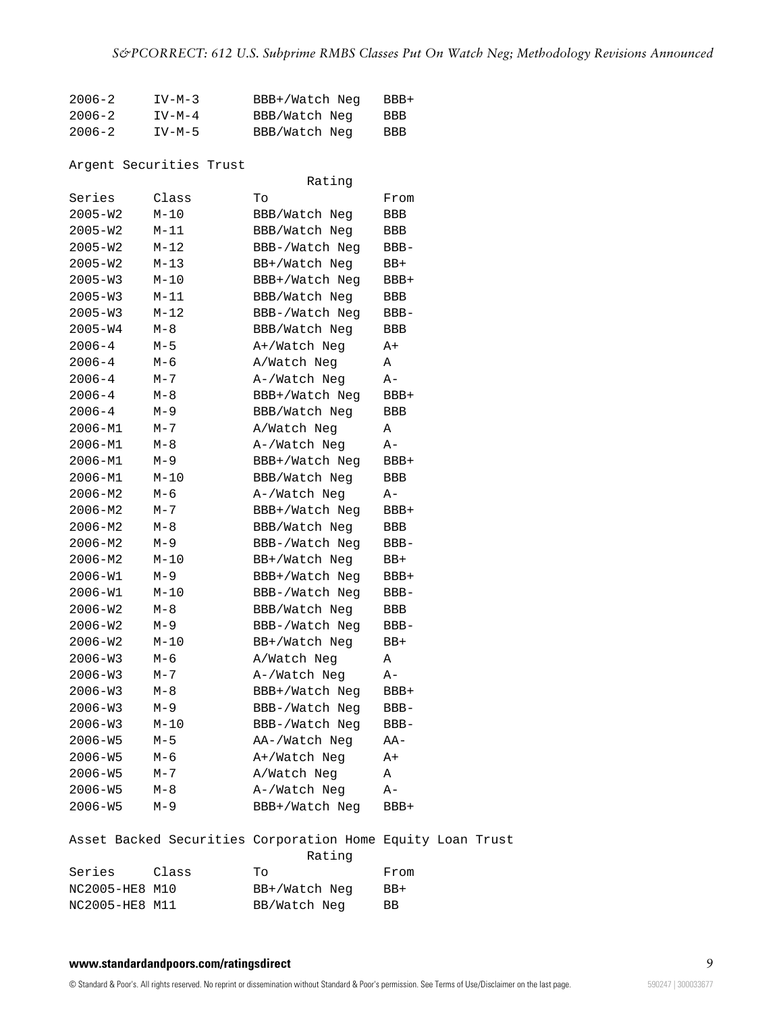| $2006 - 2$ | $IV-M-3$ | BBB+/Watch Neg | $BBB+$ |
|------------|----------|----------------|--------|
| $2006 - 2$ | $IV-M-4$ | BBB/Watch Neg  | BBB.   |
| $2006 - 2$ | IV-M-5   | BBB/Watch Neg  | BBB    |

# Argent Securities Trust

|                |          | Rating                                                               |         |  |
|----------------|----------|----------------------------------------------------------------------|---------|--|
| Series         | Class    | To                                                                   | From    |  |
| 2005-W2        | $M-10$   | BBB/Watch Neg                                                        | BBB     |  |
| 2005-W2        | $M-11$   | BBB/Watch Neg                                                        | BBB     |  |
| $2005 - W2$    | $M-12$   | BBB-/Watch Neg                                                       | $BBB-$  |  |
| $2005 - W2$    | $M-13$   | BB+/Watch Neg                                                        | BB+     |  |
| $2005 - W3$    | M-10     | BBB+/Watch Neq                                                       | BBB+    |  |
| $2005 - W3$    | $M-11$   | BBB/Watch Neg                                                        | BBB     |  |
| $2005 - W3$    | $M - 12$ | BBB-/Watch Neg                                                       | BBB-    |  |
| 2005-W4        | $M-8$    | BBB/Watch Neg                                                        | BBB     |  |
| $2006 - 4$     | $M-5$    | A+/Watch Neg                                                         | A+      |  |
| $2006 - 4$     | М-6      | A/Watch Neg                                                          | Α       |  |
| $2006 - 4$     | M-7      | A-/Watch Neg                                                         | A-      |  |
| $2006 - 4$     | M-8      | BBB+/Watch Neg                                                       | BBB+    |  |
| $2006 - 4$     | $M-9$    | BBB/Watch Neg                                                        | BBB     |  |
| 2006-M1        | $M - 7$  | A/Watch Neg                                                          | Α       |  |
| $2006 - M1$    | M-8      | A-/Watch Neg                                                         | A-      |  |
| $2006 - M1$    | $M-9$    | BBB+/Watch Neg                                                       | BBB+    |  |
| $2006 - M1$    | M-10     | BBB/Watch Neg                                                        | BBB     |  |
| $2006 - M2$    | М-6      | A-/Watch Neg                                                         | A-      |  |
| 2006-M2        | $M - 7$  | BBB+/Watch Neq                                                       | BBB+    |  |
| $2006 - M2$    | М-8      | BBB/Watch Neg                                                        | BBB     |  |
| $2006 - M2$    | М-9      | BBB-/Watch Neg                                                       | BBB-    |  |
| $2006 - M2$    | $M-10$   | BB+/Watch Neg                                                        | BB+     |  |
| 2006-W1        | $M-9$    | BBB+/Watch Neg                                                       | BBB+    |  |
| $2006 - W1$    | M-10     | BBB-/Watch Neg                                                       | BBB-    |  |
| 2006-W2        | M-8      | BBB/Watch Neg                                                        | BBB     |  |
| 2006-W2        | $M-9$    | BBB-/Watch Neg                                                       | BBB-    |  |
| $2006 - W2$    | $M-10$   | BB+/Watch Neg                                                        | BB+     |  |
| $2006 - W3$    | $M-6$    | A/Watch Neg                                                          | Α       |  |
| $2006 - W3$    | M-7      | A-/Watch Neg                                                         | A-      |  |
| $2006 - W3$    | M-8      | BBB+/Watch Neg                                                       | BBB+    |  |
| $2006 - W3$    | M-9      | BBB-/Watch Neq                                                       | BBB-    |  |
| $2006 - W3$    | $M-10$   | BBB-/Watch Neg                                                       | $BBB -$ |  |
| 2006-W5        | M-5      | AA-/Watch Neg                                                        | AA-     |  |
| $2006 - W5$    | $M-6$    | A+/Watch Neg                                                         | A+      |  |
| $2006 - W5$    | M-7      | A/Watch Neg                                                          | Α       |  |
| $2006 - W5$    | M-8      | A-/Watch Neg                                                         | A-      |  |
| $2006 - W5$    | $M-9$    | BBB+/Watch Neg                                                       | BBB+    |  |
|                |          | Asset Backed Securities Corporation Home Equity Loan Trust<br>Rating |         |  |
| Series         | Class    | Tо                                                                   | From    |  |
| NC2005-HE8 M10 |          | BB+/Watch Neg                                                        | BB+     |  |
| NC2005-HE8 M11 |          | BB/Watch Neg                                                         | ВB      |  |
|                |          |                                                                      |         |  |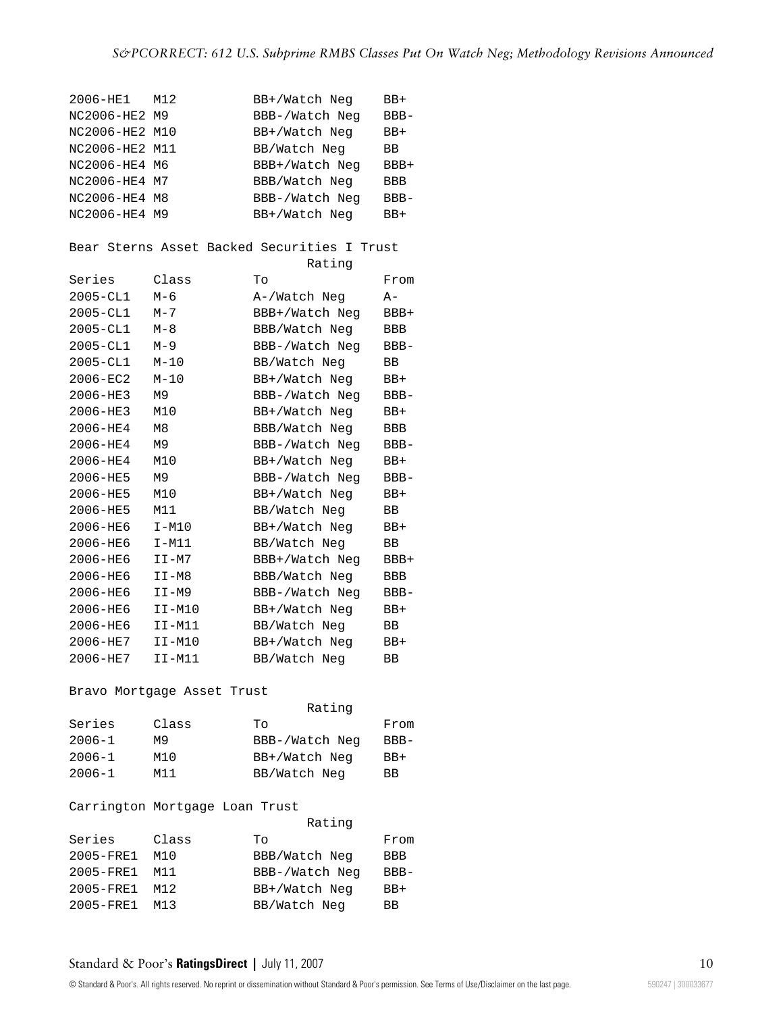| 2006-HE1       | M12                            | BB+/Watch Neg                               | BB+     |
|----------------|--------------------------------|---------------------------------------------|---------|
| NC2006-HE2 M9  |                                | BBB-/Watch Neg                              | BBB-    |
| NC2006-HE2 M10 |                                | BB+/Watch Neq                               | $BB+$   |
| NC2006-HE2 M11 |                                | BB/Watch Neg                                | ВB      |
| NC2006-HE4 M6  |                                | BBB+/Watch Neg                              | BBB+    |
| NC2006-HE4 M7  |                                | BBB/Watch Neg                               | BBB     |
| NC2006-HE4 M8  |                                | BBB-/Watch Neq                              | $BBB -$ |
| NC2006-HE4 M9  |                                | BB+/Watch Neg                               | BB+     |
|                |                                |                                             |         |
|                |                                | Bear Sterns Asset Backed Securities I Trust |         |
|                |                                | Rating                                      |         |
| Series         | Class                          | Tо                                          | From    |
| $2005 - CLI$   | $M-6$                          | A-/Watch Neg                                | A-      |
| $2005 - CL1$   | $M - 7$                        | BBB+/Watch Neq                              | BBB+    |
| $2005 - CLI$   | $M-8$                          | BBB/Watch Neg                               | BBB     |
| $2005 - CL1$   | $M-9$                          | BBB-/Watch Neq                              | $BBB -$ |
| 2005-CL1       | $M-10$                         | BB/Watch Neg                                | ВB      |
| 2006-EC2       | $M-10$                         | BB+/Watch Neg                               | BB+     |
| 2006-HE3       | M9                             | BBB-/Watch Neg                              | $BBB -$ |
| 2006-HE3       | M10                            | BB+/Watch Neg                               | BB+     |
| 2006-HE4       | M <sub>8</sub>                 | BBB/Watch Neg                               | BBB     |
| 2006-HE4       | М9                             | BBB-/Watch Neg                              | $BBB -$ |
| 2006-HE4       | M10                            | BB+/Watch Neg                               | BB+     |
| 2006-HE5       | M9                             | BBB-/Watch Neg                              | BBB-    |
| 2006-HE5       | M10                            | BB+/Watch Neq                               | BB+     |
| 2006-HE5       | M11                            | BB/Watch Neg                                | ВB      |
| 2006-HE6       | $I-M10$                        | BB+/Watch Neg                               | BB+     |
| 2006-HE6       | $I-M11$                        | BB/Watch Neg                                | ΒB      |
| 2006-HE6       | $I I - M7$                     | BBB+/Watch Neq                              | BBB+    |
| 2006-HE6       | $I I-M8$                       | BBB/Watch Neg                               | BBB     |
| 2006-HE6       | II-M9                          | BBB-/Watch Neg                              | $BBB -$ |
| $2006 - HEE6$  | $II-M10$                       | BB+/Watch Neg                               | BB+     |
| 2006-HE6       | II-M11                         | BB/Watch Neg                                | BB      |
| 2006-HE7       | $I I - M10$                    | BB+/Watch Neg                               | BB+     |
| 2006-HE7       | $I I-M11$                      | BB/Watch Neg                                | ВB      |
|                |                                |                                             |         |
|                | Bravo Mortgage Asset Trust     |                                             |         |
|                |                                | Rating                                      |         |
| Series         | Class                          | Tо                                          | From    |
| $2006 - 1$     | M9                             | BBB-/Watch Neg                              | $BBB-$  |
| 2006-1         | M10                            | BB+/Watch Neg                               | BB+     |
| $2006 - 1$     | M11                            | BB/Watch Neg                                | BB      |
|                |                                |                                             |         |
|                | Carrington Mortgage Loan Trust |                                             |         |
|                |                                | Rating                                      |         |

|                      |       | naciiy         |            |
|----------------------|-------|----------------|------------|
| Series               | Class | To             | From       |
| 2005-FRE1            | M10   | BBB/Watch Neg  | <b>BBB</b> |
| $2005 - \text{FRE1}$ | M11   | BBB-/Watch Neg | $BBB-$     |
| $2005 - FRE1$        | M12   | BB+/Watch Neg  | $BB+$      |
| 2005-FRE1            | M13   | BB/Watch Neg   | <b>BB</b>  |
|                      |       |                |            |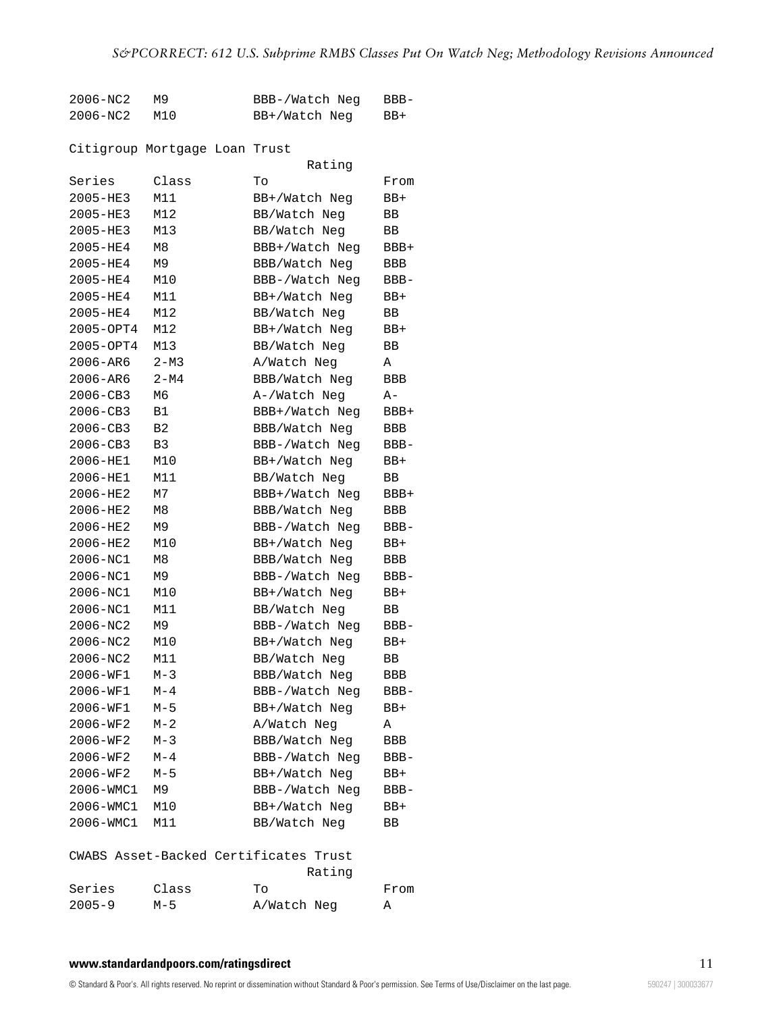| 2006-NC2 | M9. | BBB-/Watch Neg | BBB-  |
|----------|-----|----------------|-------|
| 2006-NC2 | M10 | BB+/Watch Neg  | $BB+$ |

# Citigroup Mortgage Loan Trust

|              |                | Rating                                |            |
|--------------|----------------|---------------------------------------|------------|
| Series       | Class          | Tо                                    | From       |
| $2005 - HE3$ | M11            | BB+/Watch Neq                         | $BB+$      |
| 2005-HE3     | M12            | BB/Watch Neg                          | ВB         |
| 2005-HE3     | M13            | BB/Watch Neg                          | ВB         |
| 2005-HE4     | M8             | BBB+/Watch Neg                        | BBB+       |
| 2005-HE4     | M9             | BBB/Watch Neg                         | BBB        |
| 2005-HE4     | M10            | BBB-/Watch Neg                        | $BBB -$    |
| 2005-HE4     | M11            | BB+/Watch Neq                         | $BB+$      |
| 2005-HE4     | M12            | BB/Watch Neg                          | ВB         |
| 2005-OPT4    | M12            | BB+/Watch Neq                         | $BB+$      |
| 2005-OPT4    | M13            | BB/Watch Neg                          | ВB         |
| 2006-AR6     | $2 - M3$       | A/Watch Neg                           | Α          |
| 2006-AR6     | $2 - M4$       | BBB/Watch Neg                         | BBB        |
| $2006 - CB3$ | M6             | A-/Watch Neg                          | A-         |
| 2006-CB3     | B1             | BBB+/Watch Neg                        | $BBB+$     |
| 2006-CB3     | B <sub>2</sub> | BBB/Watch Neg                         | BBB        |
| 2006-CB3     | B3             | BBB-/Watch Neg                        | $BBB -$    |
| 2006-HE1     | M10            | BB+/Watch Neq                         | $BB+$      |
| 2006-HE1     | M11            | BB/Watch Neg                          | ВB         |
| 2006-HE2     | M7             | BBB+/Watch Neg                        | BBB+       |
| 2006-HE2     | M8             | BBB/Watch Neg                         | <b>BBB</b> |
| 2006-HE2     | M9             | BBB-/Watch Neg                        | $BBB -$    |
| 2006-HE2     | M10            | BB+/Watch Neq                         | BB+        |
| 2006-NC1     | M8             | BBB/Watch Neg                         | <b>BBB</b> |
| 2006-NC1     | M9             | BBB-/Watch Neg                        | $BBB -$    |
| 2006-NC1     | M10            | BB+/Watch Neg                         | BB+        |
| 2006-NC1     | M11            | BB/Watch Neg                          | BB         |
| 2006-NC2     | M9             | BBB-/Watch Neg                        | $BBB -$    |
| 2006-NC2     | M10            | BB+/Watch Neg                         | $BB+$      |
| 2006-NC2     | M11            | BB/Watch Neg                          | ВB         |
| 2006-WF1     | $M-3$          | BBB/Watch Neg                         | <b>BBB</b> |
| 2006-WF1     | $M-4$          | BBB-/Watch Neg                        | $BBB -$    |
| 2006-WF1     | $M-5$          | BB+/Watch Neg                         | $BB+$      |
| 2006-WF2     | $M - 2$        | A/Watch Neg                           | Α          |
| 2006-WF2     | $M-3$          | BBB/Watch Neg                         | BBB        |
| 2006-WF2     | $M-4$          | BBB-/Watch Neg                        | BBB-       |
| 2006-WF2     | $M-5$          | BB+/Watch Neg                         | BB+        |
| 2006-WMC1    | M9             | BBB-/Watch Neg                        | BBB-       |
| 2006-WMC1    | M10            | BB+/Watch Neg                         | BB+        |
| 2006-WMC1    | M11            | BB/Watch Neg                          | ВB         |
|              |                | CWABS Asset-Backed Certificates Trust |            |
|              |                | Rating                                |            |
| Series       | Class          | To                                    | From       |
| $2005 - 9$   | $M-5$          | A/Watch Neg                           | Α          |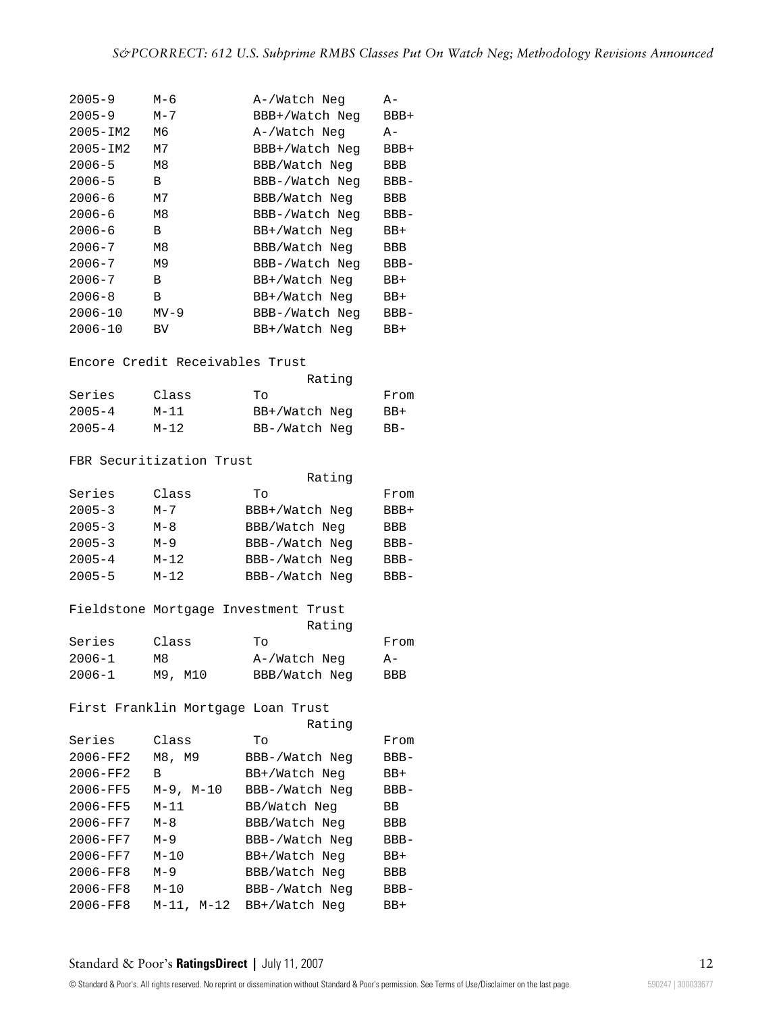| $2005 - 9$   | М-6                                | A-/Watch Neg                         | A-         |
|--------------|------------------------------------|--------------------------------------|------------|
| $2005 - 9$   | $M - 7$                            | BBB+/Watch Neq                       | BBB+       |
| $2005 - IM2$ | M6                                 | A-/Watch Neg                         | A-         |
| $2005 - IM2$ | М7                                 | BBB+/Watch Neq                       | BBB+       |
| $2006 - 5$   | M8                                 | BBB/Watch Neg                        | <b>BBB</b> |
| $2006 - 5$   | B                                  | BBB-/Watch Neq                       | $BBB -$    |
| $2006 - 6$   | М7                                 | BBB/Watch Neg                        | BBB        |
| $2006 - 6$   | M8                                 | BBB-/Watch Neg                       | $BBB -$    |
| $2006 - 6$   | В                                  | BB+/Watch Neg                        | $BB+$      |
| $2006 - 7$   | M8                                 | BBB/Watch Neg                        | BBB        |
| $2006 - 7$   | M9                                 | BBB-/Watch Neg                       | BBB-       |
| $2006 - 7$   | B                                  | BB+/Watch Neg                        | BB+        |
| $2006 - 8$   | В                                  | BB+/Watch Neq                        | BB+        |
| $2006 - 10$  | $MV-9$                             | BBB-/Watch Neg                       | $BBB -$    |
| $2006 - 10$  | BV                                 | BB+/Watch Neq                        | BB+        |
|              |                                    |                                      |            |
|              | Encore Credit Receivables Trust    |                                      |            |
|              |                                    | Rating                               |            |
| Series       | Class                              | Tо                                   | From       |
| $2005 - 4$   | $M-11$                             | BB+/Watch Neq                        | $BB+$      |
| $2005 - 4$   | $M-12$                             | BB-/Watch Neg                        | $BB-$      |
|              |                                    |                                      |            |
|              | FBR Securitization Trust           |                                      |            |
|              |                                    | Rating                               |            |
| Series       | Class                              | Tо                                   | From       |
| $2005 - 3$   | $M - 7$                            | BBB+/Watch Neg                       | BBB+       |
| $2005 - 3$   | $M-8$                              | BBB/Watch Neg                        | BBB        |
| $2005 - 3$   | $M-9$                              | BBB-/Watch Neq                       | BBB-       |
| $2005 - 4$   | $M-12$                             | BBB-/Watch Neq                       | $BBB -$    |
| $2005 - 5$   | $M - 12$                           | BBB-/Watch Neq                       | $BBB -$    |
|              |                                    |                                      |            |
|              |                                    | Fieldstone Mortgage Investment Trust |            |
|              |                                    | Rating                               |            |
| Series       | Class                              | Тo                                   | From       |
| 2006-1       | М8                                 | A-/Watch Neg                         | A-         |
| $2006 - 1$   | M9, M10                            | BBB/Watch Neg                        | BBB        |
|              |                                    |                                      |            |
|              | First Franklin Mortgage Loan Trust |                                      |            |
|              |                                    | Rating                               |            |
| Series       | Class                              | Tо                                   | From       |
| 2006-FF2     | M8, M9                             | BBB-/Watch Neg                       | BBB-       |
| 2006-FF2     | В                                  | BB+/Watch Neg                        | BB+        |
| 2006-FF5     | $M-9$ , $M-10$                     | BBB-/Watch Neg                       | BBB-       |
| 2006-FF5     | $M-11$                             | BB/Watch Neg                         | ВB         |
| 2006-FF7     | $M-8$                              | BBB/Watch Neg                        | BBB        |
| 2006-FF7     | M-9                                | BBB-/Watch Neg                       | BBB-       |
| 2006-FF7     | $M-10$                             | BB+/Watch Neg                        | BB+        |
| 2006-FF8     | $M-9$                              | BBB/Watch Neg                        | BBB        |
| 2006-FF8     | $M-10$                             | BBB-/Watch Neg                       | BBB-       |
| 2006-FF8     | M-11, M-12                         | BB+/Watch Neg                        | BB+        |
|              |                                    |                                      |            |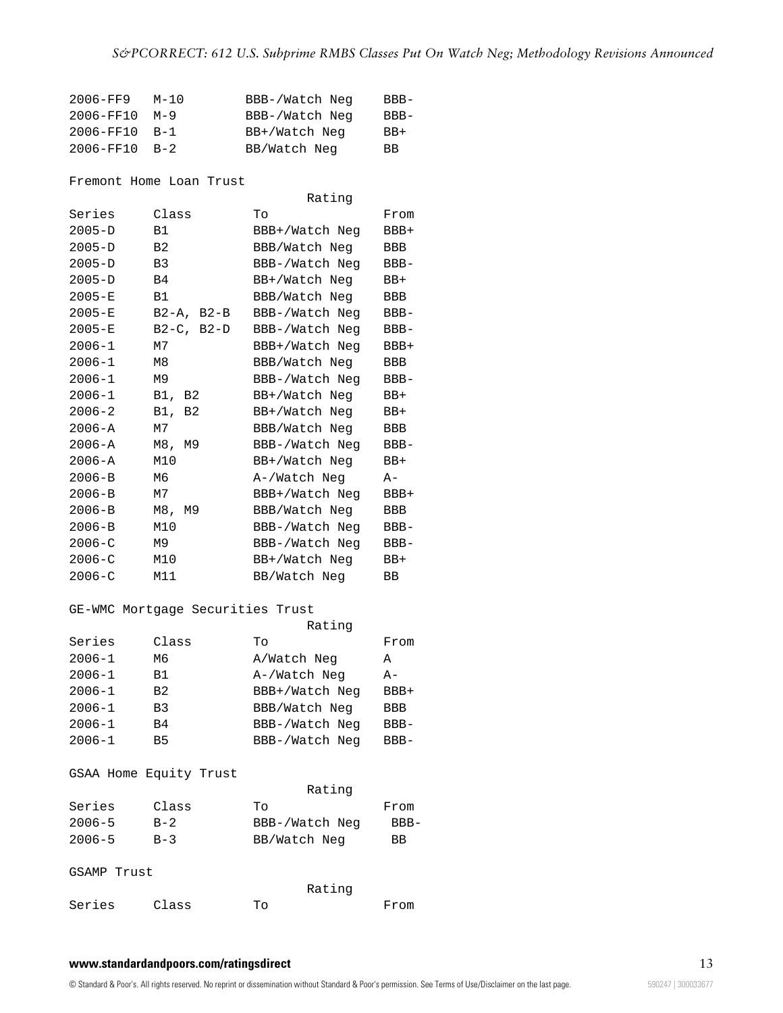| 2006-FF9            | $M-10$ | BBB-/Watch Neg | BBB-  |
|---------------------|--------|----------------|-------|
| 2006-FF10 M-9       |        | BBB-/Watch Neg | BBB-  |
| $2006 - FF10 B - 1$ |        | BB+/Watch Neg  | $BB+$ |
| 2006-FF10 B-2       |        | BB/Watch Neg   | BB.   |

Fremont Home Loan Trust

|            |                 | Rating         |            |  |
|------------|-----------------|----------------|------------|--|
| Series     | Class           | Tо             | From       |  |
| $2005 - D$ | <b>B1</b>       | BBB+/Watch Neq | BBB+       |  |
| $2005 - D$ | B <sub>2</sub>  | BBB/Watch Neg  | BBB        |  |
| $2005 - D$ | B <sub>3</sub>  | BBB-/Watch Neg | $BBB-$     |  |
| $2005 - D$ | B <sub>4</sub>  | BB+/Watch Neg  | BB+        |  |
| $2005 - E$ | B1              | BBB/Watch Neg  | BBB        |  |
| $2005 - E$ | $B2-A$ , $B2-B$ | BBB-/Watch Neg | $BBB-$     |  |
| $2005 - E$ | $B2-C$ , $B2-D$ | BBB-/Watch Neg | $BBB-$     |  |
| $2006 - 1$ | M7              | BBB+/Watch Neg | BBB+       |  |
| $2006 - 1$ | M8              | BBB/Watch Neg  | BBB        |  |
| $2006 - 1$ | M9              | BBB-/Watch Neg | $BBB -$    |  |
| $2006 - 1$ | B1, B2          | BB+/Watch Neq  | BB+        |  |
| $2006 - 2$ | B1,<br>B2       | BB+/Watch Neq  | $BB+$      |  |
| $2006 - A$ | M7              | BBB/Watch Neg  | BBB        |  |
| $2006 - A$ | M8, M9          | BBB-/Watch Neg | $BBB -$    |  |
| $2006 - A$ | M10             | BB+/Watch Neg  | BB+        |  |
| $2006 - B$ | Mб              | A-/Watch Neg   | $A-$       |  |
| $2006 - B$ | M7              | BBB+/Watch Neq | BBB+       |  |
| $2006 - B$ | M8, M9          | BBB/Watch Neg  | <b>BBB</b> |  |
| $2006 - B$ | M10             | BBB-/Watch Neg | $BBB-$     |  |
| $2006 - C$ | M9              | BBB-/Watch Neg | $BBB -$    |  |
| $2006 - C$ | M10             | BB+/Watch Neg  | $BB+$      |  |
| $2006 - C$ | M11             | BB/Watch Neg   | BB         |  |

# GE-WMC Mortgage Securities Trust

|            |                | Rating         |            |  |  |
|------------|----------------|----------------|------------|--|--|
| Series     | Class          | To             | From       |  |  |
| $2006 - 1$ | М6             | A/Watch Neg    | А          |  |  |
| $2006 - 1$ | <b>B1</b>      | A-/Watch Neg   | $A -$      |  |  |
| $2006 - 1$ | B <sub>2</sub> | BBB+/Watch Neq | BBB+       |  |  |
| $2006 - 1$ | B <sub>3</sub> | BBB/Watch Neg  | <b>BBB</b> |  |  |
| $2006 - 1$ | B4             | BBB-/Watch Neg | $BBB -$    |  |  |
| $2006 - 1$ | B5             | BBB-/Watch Neg | $BBB -$    |  |  |

# GSAA Home Equity Trust

|             |       | Rating         |        |  |
|-------------|-------|----------------|--------|--|
| Series      | Class | To             | From   |  |
| $2006 - 5$  | $B-2$ | BBB-/Watch Neg | $BBB-$ |  |
| $2006 - 5$  | $B-3$ | BB/Watch Neg   | BB     |  |
| GSAMP Trust |       |                |        |  |
|             |       | Rating         |        |  |
| Series      | Class | Tο             | From   |  |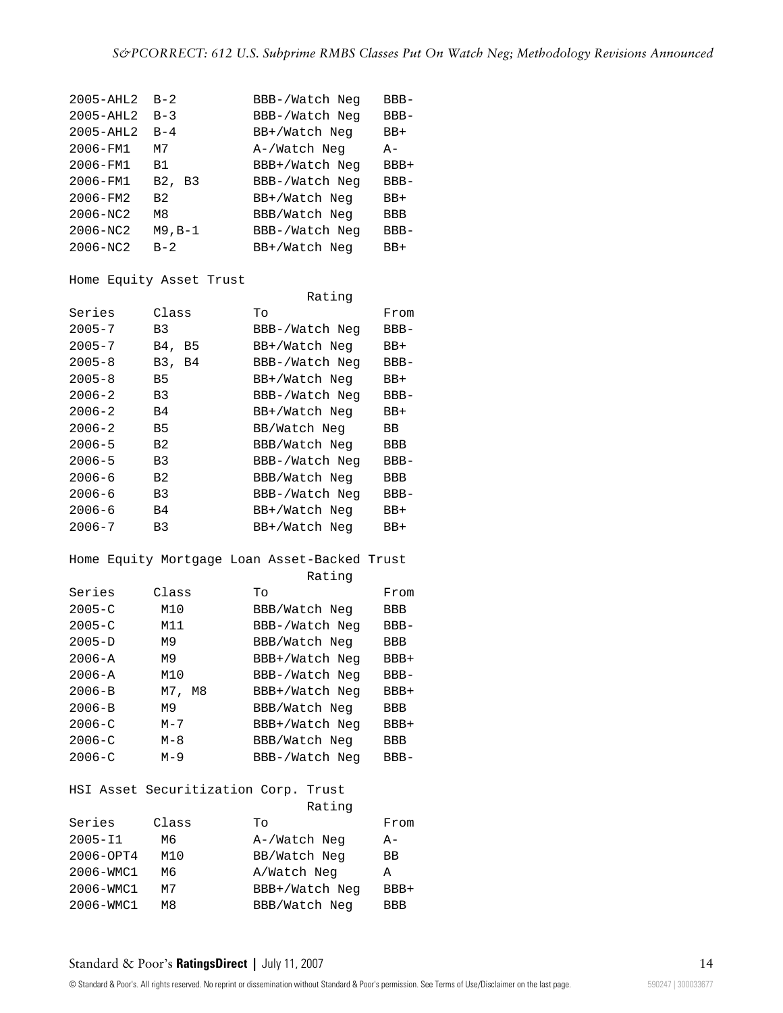| $2005 - AHL2$ | $B - 2$               | BBB-/Watch Neq | $BBB-$     |
|---------------|-----------------------|----------------|------------|
| $2005 - AHL2$ | $B-3$                 | BBB-/Watch Neg | $BBB -$    |
| $2005 - AHL2$ | $B-4$                 | BB+/Watch Neg  | $BB+$      |
| 2006-FM1      | м7                    | A-/Watch Neg   | $A -$      |
| 2006-FM1      | B <sub>1</sub>        | BBB+/Watch Neg | BBB+       |
| 2006-FM1      | B2,<br>B <sub>3</sub> | BBB-/Watch Neg | $BBB -$    |
| 2006-FM2      | B <sub>2</sub>        | BB+/Watch Neg  | $BB+$      |
| 2006-NC2      | M8                    | BBB/Watch Neg  | <b>BBB</b> |
| $2006 - MC2$  | M9,B-1                | BBB-/Watch Neg | $BBB -$    |
| $2006 - NC2$  | $B - 2$               | BB+/Watch Neg  | $BB+$      |

Home Equity Asset Trust

|            |                | Rating         |            |  |
|------------|----------------|----------------|------------|--|
| Series     | Class          | To             | From       |  |
| $2005 - 7$ | B <sub>3</sub> | BBB-/Watch Neg | $BBB-$     |  |
| $2005 - 7$ | B4.<br>B5      | BB+/Watch Neg  | BB+        |  |
| $2005 - 8$ | B3, B4         | BBB-/Watch Neg | $BBB-$     |  |
| $2005 - 8$ | B5             | BB+/Watch Neg  | BB+        |  |
| $2006 - 2$ | B3             | BBB-/Watch Neg | $BBB-$     |  |
| $2006 - 2$ | B4             | BB+/Watch Neg  | BB+        |  |
| $2006 - 2$ | B5             | BB/Watch Neg   | BB         |  |
| $2006 - 5$ | B <sub>2</sub> | BBB/Watch Neg  | BBB        |  |
| $2006 - 5$ | B <sub>3</sub> | BBB-/Watch Neg | $BBB -$    |  |
| $2006 - 6$ | B <sub>2</sub> | BBB/Watch Neg  | <b>BBB</b> |  |
| $2006 - 6$ | B3             | BBB-/Watch Neq | $BBB-$     |  |
| $2006 - 6$ | B4             | BB+/Watch Neg  | $BB+$      |  |
| $2006 - 7$ | B3             | BB+/Watch Neg  | BB+        |  |

#### Home Equity Mortgage Loan Asset-Backed Trust Rating

|            |           | Ratily         |            |  |
|------------|-----------|----------------|------------|--|
| Series     | Class     | To             | From       |  |
| $2005 - C$ | M10       | BBB/Watch Neg  | BBB        |  |
| $2005 - C$ | M11       | BBB-/Watch Neg | $BBB -$    |  |
| $2005 - D$ | М9        | BBB/Watch Neg  | <b>BBB</b> |  |
| $2006 - A$ | M9        | BBB+/Watch Neg | $BBB+$     |  |
| $2006 - A$ | M10       | BBB-/Watch Neg | $BBB -$    |  |
| $2006 - B$ | M7,<br>M8 | BBB+/Watch Neq | $BBB+$     |  |
| $2006 - B$ | M9        | BBB/Watch Neg  | BBB        |  |
| $2006 - C$ | $M - 7$   | BBB+/Watch Neg | $BBB+$     |  |
| $2006 - C$ | $M - 8$   | BBB/Watch Neg  | <b>BBB</b> |  |
| $2006 - C$ | $M - 9$   | BBB-/Watch Neg | $BBB-$     |  |

# HSI Asset Securitization Corp. Trust

|       | Rating         |       |
|-------|----------------|-------|
| Class | To             | From  |
| M6    | A-/Watch Neg   | $A -$ |
| M10   | BB/Watch Neg   | BB    |
| Mб    | A/Watch Neg    | А     |
| M7    | BBB+/Watch Neq | BBB+  |
| M8    | BBB/Watch Neg  | BBB   |
|       |                |       |

# **Standard & Poor's RatingsDirect | July 11, 2007 14 14 14 15 16 17 18 18 19 18 18 19 18 19 18 19 18 19 18 19 18 19 18 19 18 19 18 19 18 19 18 19 18 19 18 19 18 19 18 19 18 19 18 19 18 19 18 19 18 19 18 19 18 19 18 19 18 19**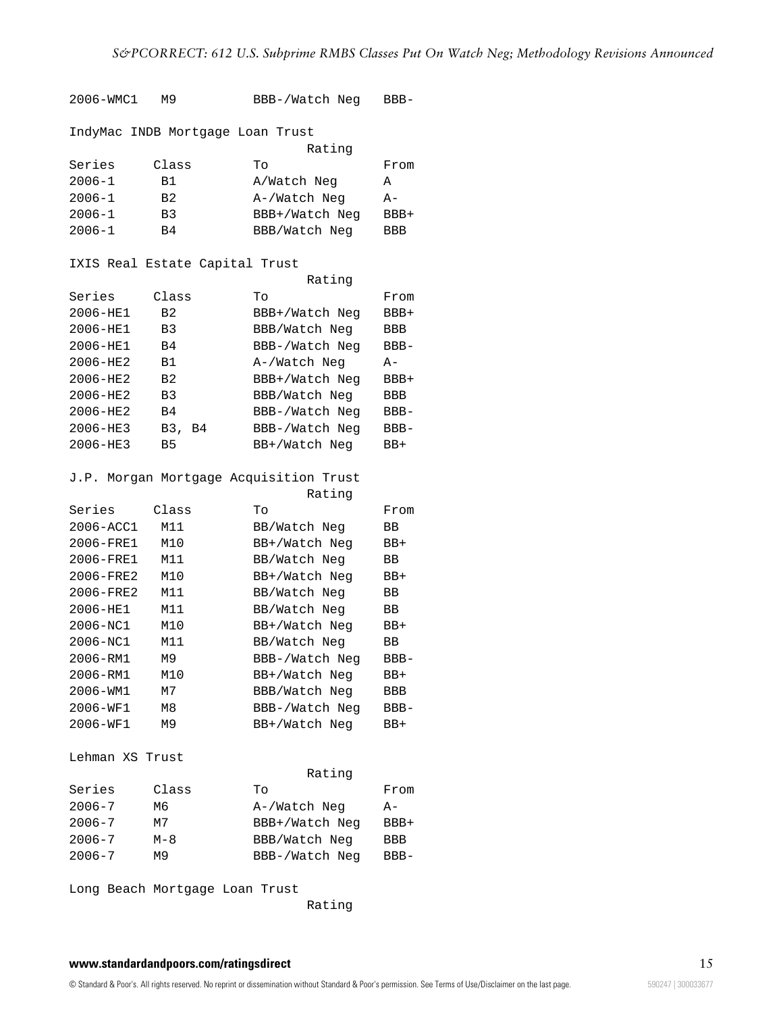2006-WMC1 M9 BBB-/Watch Neg BBB-IndyMac INDB Mortgage Loan Trust Rating Series Class To From 2006-1 B1 A/Watch Neg A 2006-1 B2 A-/Watch Neg A-2006-1 B3 BBB+/Watch Neg BBB+ 2006-1 B4 BBB/Watch Neg BBB IXIS Real Estate Capital Trust Rating Series Class To From 2006-HE1 B2 BBB+/Watch Neg BBB+ 2006-HE1 B3 BBB/Watch Neg BBB 2006-HE1 B4 BBB-/Watch Neg BBB-2006-HE2 B1 A-/Watch Neg A-2006-HE2 B2 BBB+/Watch Neg BBB+ 2006-HE2 B3 BBB/Watch Neg BBB 2006-HE2 B4 BBB-/Watch Neg BBB-2006-HE3 B3, B4 BBB-/Watch Neg BBB-2006-HE3 B5 BB+/Watch Neg BB+ J.P. Morgan Mortgage Acquisition Trust Rating Series Class To From 2006-ACC1 M11 BB/Watch Neg BB 2006-FRE1 M10 BB+/Watch Neg BB+ 2006-FRE1 M11 BB/Watch Neg BB 2006-FRE2 M10 BB+/Watch Neg BB+ 2006-FRE2 M11 BB/Watch Neg BB 2006-HE1 M11 BB/Watch Neg BB 2006-NC1 M10 BB+/Watch Neg BB+ 2006-NC1 M11 BB/Watch Neg BB 2006-RM1 M9 BBB-/Watch Neg BBB-2006-RM1 M10 BB+/Watch Neg BB+ 2006-WM1 M7 BBB/Watch Neg BBB 2006-WF1 M8 BBB-/Watch Neg BBB-2006-WF1 M9 BB+/Watch Neg BB+ Lehman XS Trust Rating Series Class To From 2006-7 M6 A-/Watch Neg A-2006-7 M7 BBB+/Watch Neg BBB+ 2006-7 M-8 BBB/Watch Neg BBB 2006-7 M9 BBB-/Watch Neg BBB-

Long Beach Mortgage Loan Trust

Rating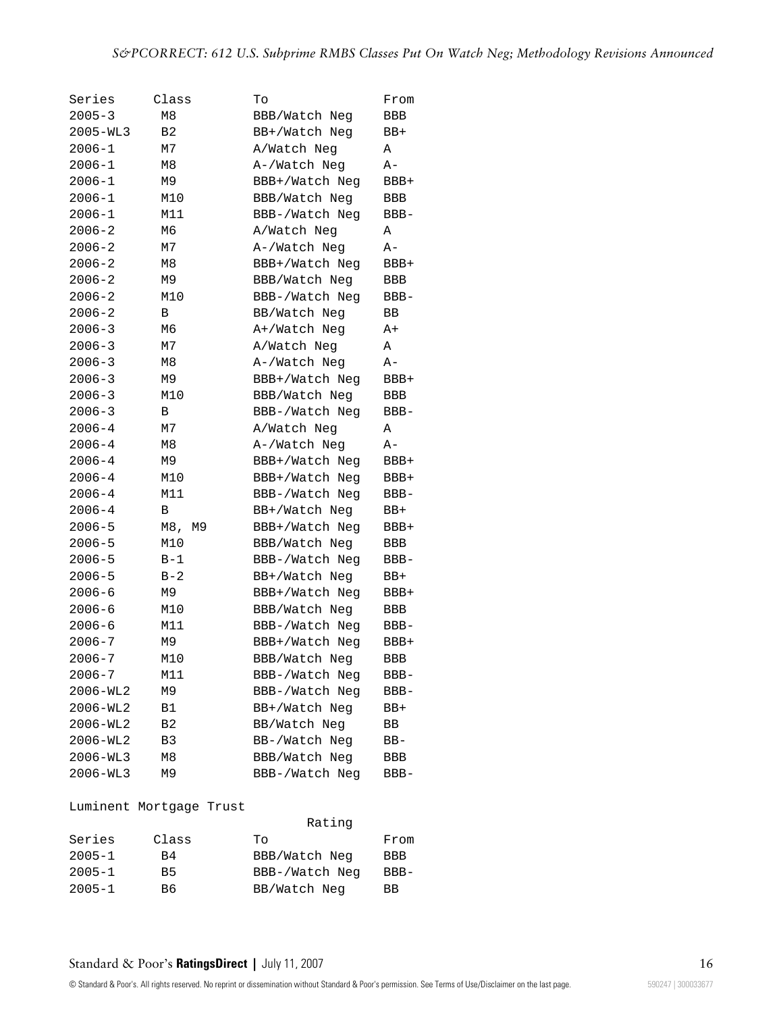| Series       | Class          | To             | From    |
|--------------|----------------|----------------|---------|
| $2005 - 3$   | M <sub>8</sub> | BBB/Watch Neg  | BBB     |
| $2005 - WL3$ | B <sub>2</sub> | BB+/Watch Neg  | BB+     |
| 2006-1       | М7             | A/Watch Neg    | Α       |
| $2006 - 1$   | M <sub>8</sub> | A-/Watch Neg   | A-      |
| $2006 - 1$   | M9             | BBB+/Watch Neg | BBB+    |
| $2006 - 1$   | M10            | BBB/Watch Neg  | BBB     |
| $2006 - 1$   | M11            | BBB-/Watch Neg | $BBB -$ |
| $2006 - 2$   | М6             | A/Watch Neg    | Α       |
| $2006 - 2$   | М7             | A-/Watch Neg   | A-      |
| $2006 - 2$   | M <sub>8</sub> | BBB+/Watch Neg | BBB+    |
| $2006 - 2$   | M <sub>9</sub> | BBB/Watch Neg  | BBB     |
| $2006 - 2$   | M10            | BBB-/Watch Neq | $BBB -$ |
| $2006 - 2$   | В              | BB/Watch Neg   | ВB      |
| $2006 - 3$   | M6             | A+/Watch Neg   | A+      |
| $2006 - 3$   | М7             | A/Watch Neg    | Α       |
| $2006 - 3$   | M8             | A-/Watch Neg   | $A -$   |
| $2006 - 3$   | M <sub>9</sub> | BBB+/Watch Neg | BBB+    |
| $2006 - 3$   | M10            | BBB/Watch Neg  | BBB     |
| $2006 - 3$   | В              | BBB-/Watch Neg | $BBB -$ |
| $2006 - 4$   | М7             | A/Watch Neg    | Α       |
| $2006 - 4$   | M8             | A-/Watch Neg   | $A -$   |
| $2006 - 4$   | М9             | BBB+/Watch Neq | BBB+    |
| $2006 - 4$   | M10            | BBB+/Watch Neq | BBB+    |
| $2006 - 4$   | M11            | BBB-/Watch Neq | BBB-    |
| $2006 - 4$   | В              | BB+/Watch Neg  | BB+     |
| $2006 - 5$   | M8,<br>М9      | BBB+/Watch Neq | BBB+    |
| $2006 - 5$   | M10            | BBB/Watch Neg  | BBB     |
| $2006 - 5$   | $B-1$          | BBB-/Watch Neg | BBB-    |
| $2006 - 5$   | $B-2$          | BB+/Watch Neg  | BB+     |
| $2006 - 6$   | M9             | BBB+/Watch Neg | BBB+    |
| $2006 - 6$   | M10            | BBB/Watch Neg  | BBB     |
| $2006 - 6$   | M11            | BBB-/Watch Neq | $BBB -$ |
| $2006 - 7$   | M <sub>9</sub> | BBB+/Watch Neq | BBB+    |
| $2006 - 7$   | M10            | BBB/Watch Neg  | BBB     |
| 2006-7       | M11            | BBB-/Watch Neg | BBB-    |
| 2006-WL2     | M9             | BBB-/Watch Neg | BBB-    |
| 2006-WL2     | B1             | BB+/Watch Neg  | BB+     |
| 2006-WL2     | B2             | BB/Watch Neg   | ВB      |
| 2006-WL2     | B3             | BB-/Watch Neg  | BB-     |
| 2006-WL3     | M8             | BBB/Watch Neg  | BBB     |
| 2006-WL3     | M9             | BBB-/Watch Neg | BBB-    |

#### Luminent Mortgage Trust

|            |           | Rating         |            |  |
|------------|-----------|----------------|------------|--|
| Series     | Class     | Tο             | From       |  |
| $2005 - 1$ | B4        | BBB/Watch Neg  | <b>BBB</b> |  |
| $2005 - 1$ | <b>B5</b> | BBB-/Watch Neg | $BBB-$     |  |
| $2005 - 1$ | B6.       | BB/Watch Neg   | <b>BB</b>  |  |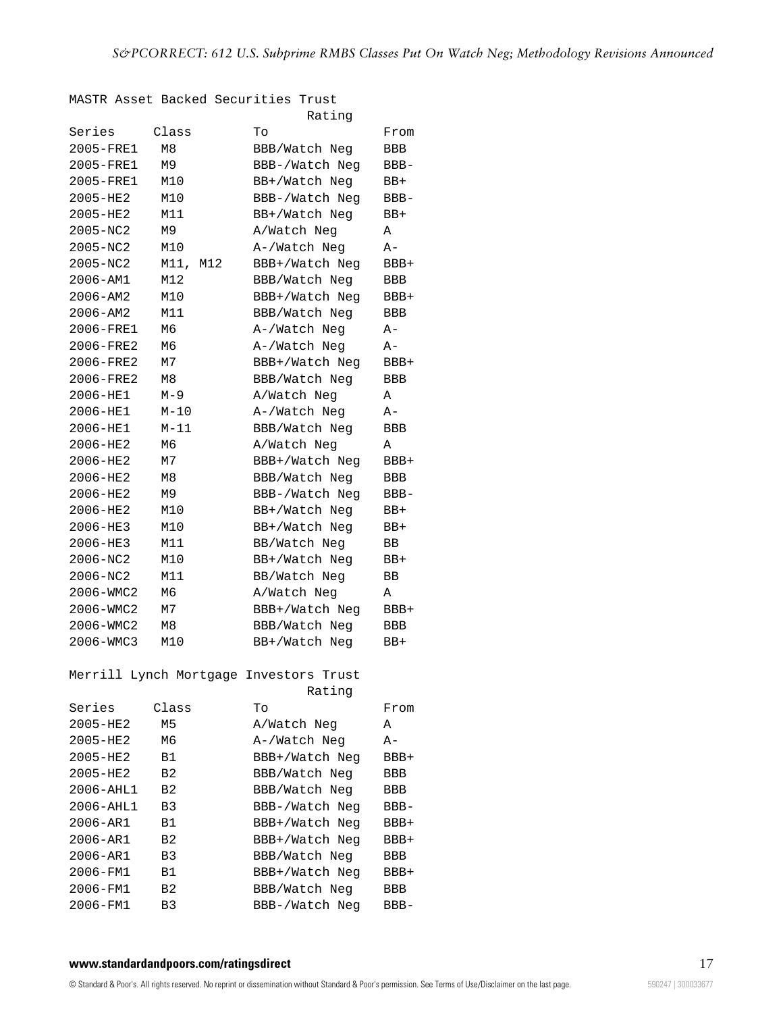MASTR Asset Backed Securities Trust

|               |                | Rating                                 |            |
|---------------|----------------|----------------------------------------|------------|
| Series        | Class          | Тo                                     | From       |
| 2005-FRE1     | M8             | BBB/Watch Neg                          | <b>BBB</b> |
| 2005-FRE1     | M <sub>9</sub> | BBB-/Watch Neq                         | BBB-       |
| 2005-FRE1     | M10            | BB+/Watch Neg                          | BB+        |
| 2005-HE2      | M10            | BBB-/Watch Neq                         | BBB-       |
| 2005-HE2      | M11            | BB+/Watch Neg                          | $BB+$      |
| $2005 - MC2$  | M9             | A/Watch Neg                            | Α          |
| $2005 - MC2$  | M10            | A-/Watch Neg                           | $A -$      |
| 2005-NC2      | M11,<br>M12    | BBB+/Watch Neq                         | BBB+       |
| 2006-AM1      | M12            | BBB/Watch Neg                          | <b>BBB</b> |
| $2006 - AM2$  | M10            | BBB+/Watch Neq                         | $BBB+$     |
| $2006 - AM2$  | M11            | BBB/Watch Neg                          | BBB        |
| 2006-FRE1     | M6             | A-/Watch Neg                           | $A -$      |
| 2006-FRE2     | M6             | A-/Watch Neg                           | $A -$      |
| 2006-FRE2     | M7             | BBB+/Watch Neq                         | $BBB+$     |
| 2006-FRE2     | M8             | BBB/Watch Neg                          | <b>BBB</b> |
| 2006-HE1      | $M-9$          | A/Watch Neg                            | Α          |
| 2006-HE1      | $M-10$         | A-/Watch Neg                           | $A -$      |
| 2006-HE1      | $M-11$         | BBB/Watch Neg                          | BBB        |
| $2006 - HE2$  | M6             | A/Watch Neg                            | Α          |
| 2006-HE2      | M7             | BBB+/Watch Neg                         | $BBB+$     |
| 2006-HE2      | M8             | BBB/Watch Neg                          | BBB        |
| 2006-HE2      | M9             | BBB-/Watch Neq                         | $BBB-$     |
| 2006-HE2      | M10            | BB+/Watch Neg                          | BB+        |
| 2006-HE3      | M10            | BB+/Watch Neg                          | $BB+$      |
| 2006-HE3      | M11            | BB/Watch Neg                           | ΒB         |
| $2006 - MC2$  | M10            | BB+/Watch Neq                          | $BB+$      |
| 2006-NC2      | M11            | BB/Watch Neg                           | ВB         |
| 2006-WMC2     | M6             | A/Watch Neg                            | Α          |
| 2006-WMC2     | М7             | BBB+/Watch Neq                         | BBB+       |
| 2006-WMC2     | М8             | BBB/Watch Neg                          | BBB        |
| 2006-WMC3     | M10            | BB+/Watch Neg                          | BB+        |
|               |                | Merrill Lynch Mortgage Investors Trust |            |
|               |                | Rating                                 |            |
| Series        | Class          | To                                     | From       |
| 2005-HE2      | М5             | A/Watch Neg                            | Α          |
| 2005-HE2      | М6             | A-/Watch Neg                           | A-         |
| 2005-HE2      | Β1             | BBB+/Watch Neg                         | BBB+       |
| 2005-HE2      | B2             | BBB/Watch Neg                          | BBB        |
| $2006 - AHL1$ | B <sub>2</sub> | BBB/Watch Neg                          | <b>BBB</b> |
| $2006 - AHLI$ | B3             | BBB-/Watch Neq                         | $BBB -$    |
| 2006-AR1      | Β1             | BBB+/Watch Neq                         | BBB+       |
| 2006-AR1      | B2             | BBB+/Watch Neq                         | $BBB+$     |
| 2006-AR1      | B3             | BBB/Watch Neg                          | BBB        |
| 2006-FM1      | Β1             | BBB+/Watch Neg                         | BBB+       |
| 2006-FM1      | B2             | BBB/Watch Neg                          | BBB        |
| 2006-FM1      | B <sub>3</sub> | BBB-/Watch Neg                         | BBB-       |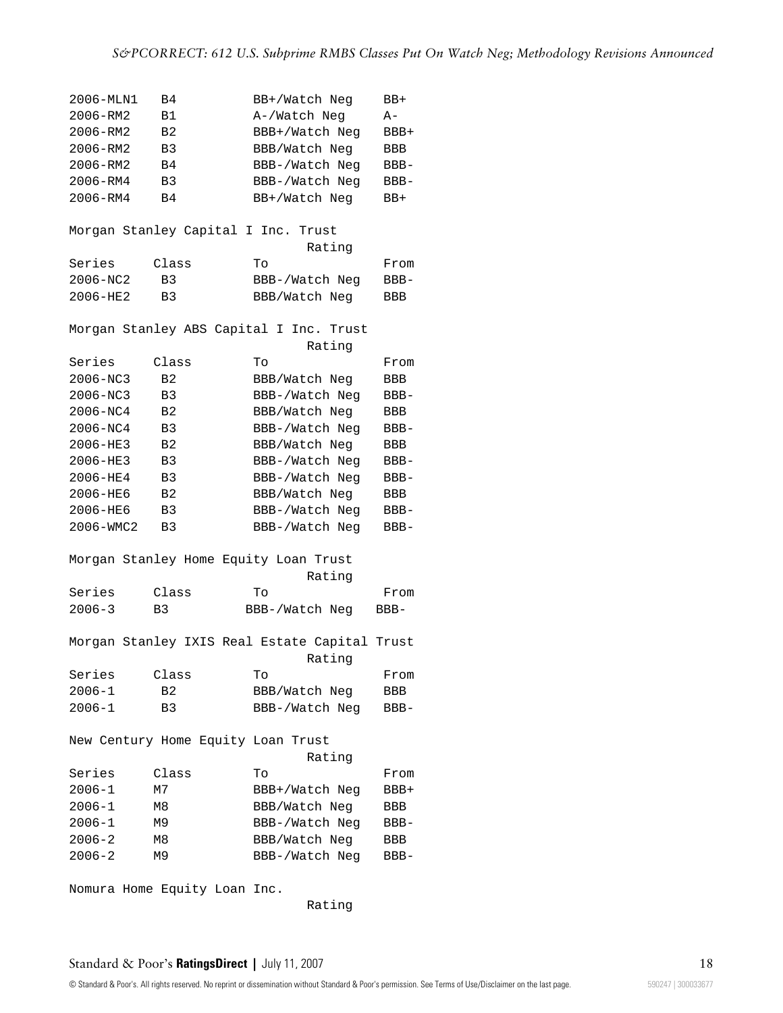| 2006-MLN1  | B4                   |                               | BB+/Watch Neg                                 |        | BB+    |
|------------|----------------------|-------------------------------|-----------------------------------------------|--------|--------|
| 2006-RM2   | <b>B1</b>            |                               | A-/Watch Neg                                  |        | $A -$  |
| 2006-RM2   | B <sub>2</sub>       |                               | BBB+/Watch Neg                                |        | BBB+   |
| 2006-RM2   | B3                   |                               | BBB/Watch Neg                                 |        | BBB    |
| 2006-RM2   | B4                   |                               | BBB-/Watch Neg                                |        | $BBB-$ |
| 2006-RM4   | B <sub>3</sub>       |                               | BBB-/Watch Neg                                |        | BBB-   |
| 2006-RM4   | B4                   |                               | BB+/Watch Neg                                 |        | BB+    |
|            |                      |                               |                                               |        |        |
|            |                      | Morgan Stanley Capital I Inc. | Trust                                         |        |        |
|            |                      |                               |                                               | Rating |        |
| Series     | Class                |                               | To                                            |        | From   |
| 2006-NC2   | B <sub>3</sub>       |                               | BBB-/Watch Neg                                |        | BBB-   |
| 2006-HE2   | B3                   |                               | BBB/Watch Neg                                 |        | BBB    |
|            |                      |                               |                                               |        |        |
|            |                      |                               | Morgan Stanley ABS Capital I Inc. Trust       |        |        |
|            |                      |                               |                                               | Rating |        |
| Series     | Class                |                               | Tо                                            |        | From   |
| 2006-NC3   | B <sub>2</sub>       |                               | BBB/Watch Neg                                 |        | BBB    |
| 2006-NC3   | B <sub>3</sub>       |                               | BBB-/Watch Neg                                |        | BBB-   |
| 2006-NC4   | B <sub>2</sub>       |                               | BBB/Watch Neg                                 |        | BBB    |
| 2006-NC4   | B3                   |                               | BBB-/Watch Neg                                |        | BBB-   |
| 2006-HE3   | B <sub>2</sub>       |                               | BBB/Watch Neg                                 |        | BBB    |
| 2006-HE3   |                      |                               |                                               |        |        |
| 2006-HE4   | B3<br>B <sub>3</sub> |                               | BBB-/Watch Neg                                |        | BBB-   |
|            |                      |                               | BBB-/Watch Neg                                |        | BBB-   |
| 2006-HE6   | B <sub>2</sub>       |                               | BBB/Watch Neg                                 |        | BBB    |
| 2006-HE6   | B3                   |                               | BBB-/Watch Neg                                |        | BBB-   |
| 2006-WMC2  | B3                   |                               | BBB-/Watch Neg                                |        | BBB-   |
|            |                      |                               |                                               |        |        |
|            |                      |                               | Morgan Stanley Home Equity Loan Trust         |        |        |
|            |                      |                               |                                               | Rating |        |
| Series     | Class                |                               | Tо                                            |        | From   |
| $2006 - 3$ | B <sub>3</sub>       |                               | BBB-/Watch Neg                                |        | BBB-   |
|            |                      |                               |                                               |        |        |
|            |                      |                               | Morgan Stanley IXIS Real Estate Capital Trust |        |        |
|            |                      |                               |                                               | Rating |        |
| Series     | Class                |                               | Tо                                            |        | From   |
| $2006 - 1$ | B2                   |                               | BBB/Watch Neg                                 |        | BBB    |
| $2006 - 1$ | B3                   |                               | BBB-/Watch Neg                                |        | BBB-   |
|            |                      |                               |                                               |        |        |
|            |                      |                               | New Century Home Equity Loan Trust            |        |        |
|            |                      |                               |                                               | Rating |        |
| Series     | Class                |                               | To                                            |        | From   |
| $2006 - 1$ | М7                   |                               | BBB+/Watch Neg                                |        | BBB+   |
| $2006 - 1$ | M8                   |                               | BBB/Watch Neg                                 |        | BBB    |
| $2006 - 1$ | М9                   |                               | BBB-/Watch Neg                                |        | BBB-   |
| $2006 - 2$ | M8                   |                               | BBB/Watch Neg                                 |        | BBB    |
| $2006 - 2$ | М9                   |                               | BBB-/Watch Neg                                |        | $BBB-$ |
|            |                      |                               |                                               |        |        |
|            |                      | Nomura Home Equity Loan Inc.  |                                               |        |        |

Rating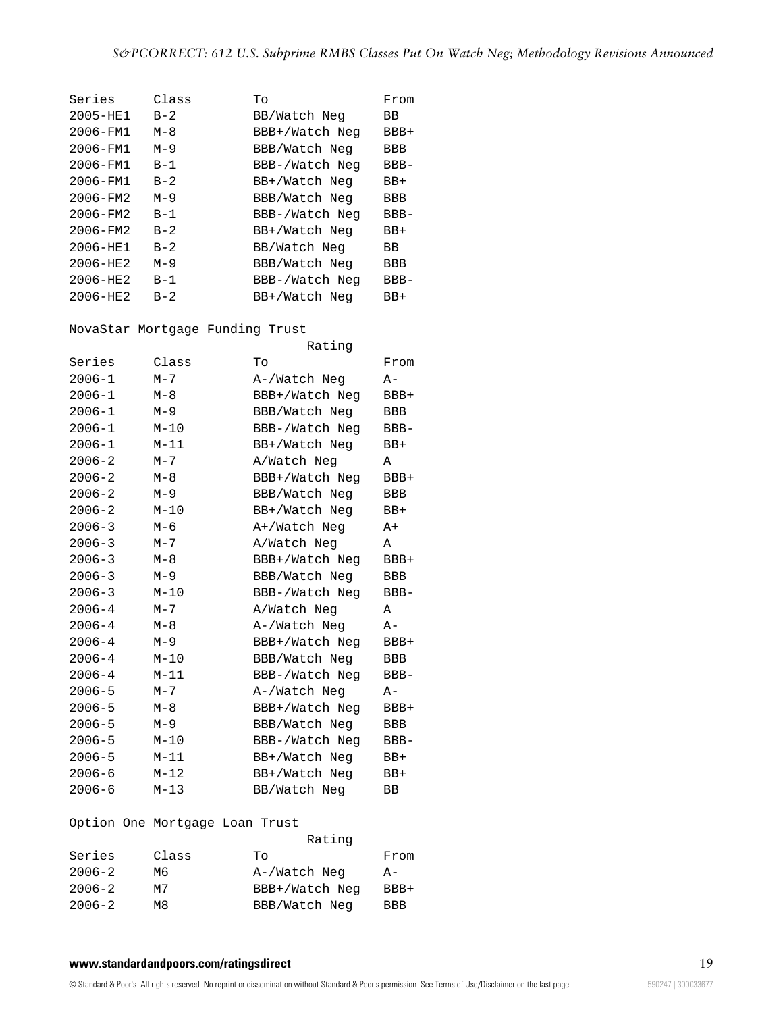| Series       | Class   | Tо             | From    |
|--------------|---------|----------------|---------|
| $2005 - HE1$ | $B-2$   | BB/Watch Neg   | ВB      |
| $2006 - FM1$ | $M - 8$ | BBB+/Watch Neg | $BBB+$  |
| $2006 - FM1$ | $M - 9$ | BBB/Watch Neg  | BBB     |
| 2006-FM1     | $B - 1$ | BBB-/Watch Neg | $BBB -$ |
| $2006 - FM1$ | $B-2$   | BB+/Watch Neg  | BB+     |
| $2006 - FM2$ | $M - 9$ | BBB/Watch Neg  | BBB     |
| $2006 - FM2$ | $B-1$   | BBB-/Watch Neg | $BBB -$ |
| $2006 - FM2$ | $B-2$   | BB+/Watch Neg  | BB+     |
| $2006 - HE1$ | $B-2$   | BB/Watch Neg   | ВB      |
| $2006 - HE2$ | $M - 9$ | BBB/Watch Neg  | BBB     |
| $2006 - HE2$ | $B-1$   | BBB-/Watch Neg | $BBB-$  |
| $2006 - HE2$ | $B - 2$ | BB+/Watch Neg  | BB+     |

NovaStar Mortgage Funding Trust

|            |          | Rating         |         |
|------------|----------|----------------|---------|
| Series     | Class    | Tо             | From    |
| $2006 - 1$ | $M - 7$  | A-/Watch Neg   | A-      |
| $2006 - 1$ | $M-8$    | BBB+/Watch Neq | BBB+    |
| $2006 - 1$ | $M - 9$  | BBB/Watch Neg  | BBB     |
| 2006-1     | $M-10$   | BBB-/Watch Neg | $BBB-$  |
| $2006 - 1$ | $M-11$   | BB+/Watch Neg  | BB+     |
| $2006 - 2$ | $M - 7$  | A/Watch Neg    | Α       |
| $2006 - 2$ | $M-8$    | BBB+/Watch Neg | BBB+    |
| $2006 - 2$ | $M-9$    | BBB/Watch Neg  | BBB     |
| $2006 - 2$ | $M-10$   | BB+/Watch Neg  | BB+     |
| $2006 - 3$ | $M-6$    | A+/Watch Neg   | A+      |
| $2006 - 3$ | $M - 7$  | A/Watch Neg    | Α       |
| $2006 - 3$ | $M-8$    | BBB+/Watch Neg | BBB+    |
| $2006 - 3$ | $M-9$    | BBB/Watch Neg  | BBB     |
| $2006 - 3$ | $M-10$   | BBB-/Watch Neg | BBB-    |
| $2006 - 4$ | $M - 7$  | A/Watch Neg    | Α       |
| $2006 - 4$ | $M-8$    | A-/Watch Neg   | A-      |
| $2006 - 4$ | $M-9$    | BBB+/Watch Neg | BBB+    |
| $2006 - 4$ | $M-10$   | BBB/Watch Neg  | BBB     |
| $2006 - 4$ | $M-11$   | BBB-/Watch Neg | $BBB -$ |
| $2006 - 5$ | $M - 7$  | A-/Watch Neg   | A-      |
| $2006 - 5$ | $M-8$    | BBB+/Watch Neg | BBB+    |
| $2006 - 5$ | $M-9$    | BBB/Watch Neg  | BBB     |
| $2006 - 5$ | $M-10$   | BBB-/Watch Neg | $BBB -$ |
| $2006 - 5$ | $M-11$   | BB+/Watch Neg  | BB+     |
| $2006 - 6$ | $M-12$   | BB+/Watch Neg  | BB+     |
| $2006 - 6$ | $M - 13$ | BB/Watch Neg   | BB      |

# Option One Mortgage Loan Trust

|            |       | Rating         |            |
|------------|-------|----------------|------------|
| Series     | Class | To             | From       |
| $2006 - 2$ | Mб    | A-/Watch Neg   | $A -$      |
| $2006 - 2$ | м7    | BBB+/Watch Neq | BBB+       |
| $2006 - 2$ | м8    | BBB/Watch Neg  | <b>BBB</b> |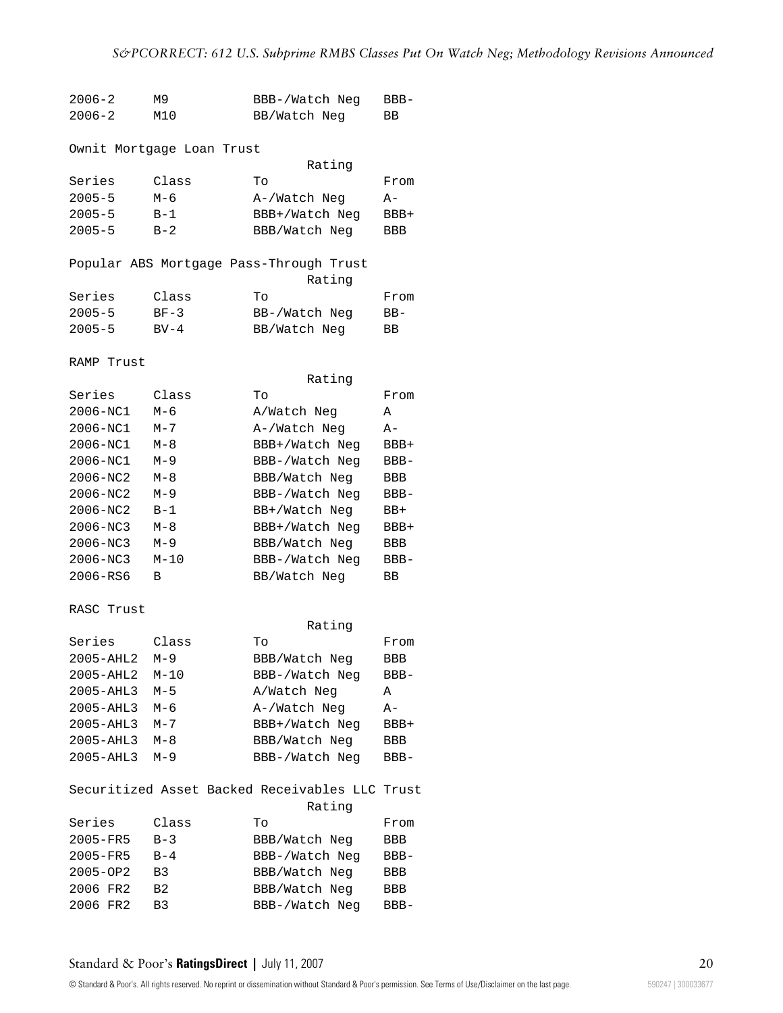# *S&PCORRECT: 612 U.S. Subprime RMBS Classes Put On Watch Neg; Methodology Revisions Announced*

| $2006 - 2$    | M9                        | BBB-/Watch Neg                                 | $BBB -$ |
|---------------|---------------------------|------------------------------------------------|---------|
| $2006 - 2$    | M10                       | BB/Watch Neg                                   | BB      |
|               |                           |                                                |         |
|               | Ownit Mortgage Loan Trust |                                                |         |
|               |                           | Rating                                         |         |
| Series        | Class                     | Tо                                             | From    |
| $2005 - 5$    | М-6                       | A-/Watch Neg                                   | A-      |
| $2005 - 5$    | $B-1$                     | BBB+/Watch Neg                                 | BBB+    |
| $2005 - 5$    | $B-2$                     | BBB/Watch Neg                                  | BBB     |
|               |                           |                                                |         |
|               |                           | Popular ABS Mortgage Pass-Through Trust        |         |
|               |                           | Rating                                         |         |
| Series        | Class                     | Tо                                             | From    |
| $2005 - 5$    | $BF-3$                    | BB-/Watch Neg                                  | $BB-$   |
| $2005 - 5$    | $BV-4$                    | BB/Watch Neg                                   | BB.     |
|               |                           |                                                |         |
| RAMP Trust    |                           |                                                |         |
|               |                           | Rating                                         |         |
| Series        | Class                     | Tо                                             | From    |
| 2006-NC1      | $M-6$                     | A/Watch Neg                                    | Α       |
| 2006-NC1      | M-7                       |                                                | $A -$   |
|               |                           | A-/Watch Neg                                   |         |
| 2006-NC1      | M-8                       | BBB+/Watch Neg                                 | BBB+    |
| 2006-NC1      | $M - 9$                   | BBB-/Watch Neq                                 | $BBB -$ |
| 2006-NC2      | M-8                       | BBB/Watch Neg                                  | BBB     |
| 2006-NC2      | $M-9$                     | BBB-/Watch Neg                                 | BBB-    |
| 2006-NC2      | $B-1$                     | BB+/Watch Neg                                  | BB+     |
| 2006-NC3      | $M-8$                     | BBB+/Watch Neg                                 | BBB+    |
| 2006-NC3      | $M-9$                     | BBB/Watch Neg                                  | BBB     |
| 2006-NC3      | $M-10$                    | BBB-/Watch Neg                                 | $BBB-$  |
| 2006-RS6      | В                         | BB/Watch Neg                                   | BB.     |
|               |                           |                                                |         |
| RASC Trust    |                           |                                                |         |
|               |                           | Rating                                         |         |
| Series        | Class                     | Tо                                             | From    |
| $2005 - AHL2$ | $M-9$                     | BBB/Watch Neg                                  | BBB     |
| 2005-AHL2     | $M-10$                    | BBB-/Watch Neg                                 | BBB-    |
| 2005-AHL3     | $M-5$                     | A/Watch Neg                                    | Α       |
| 2005-AHL3     | $M-6$                     | A-/Watch Neg                                   | A-      |
| 2005-AHL3     | $M - 7$                   | BBB+/Watch Neg                                 | BBB+    |
| 2005-AHL3     | $M-8$                     | BBB/Watch Neg                                  | BBB     |
| 2005-AHL3     | $M-9$                     | BBB-/Watch Neg                                 | BBB-    |
|               |                           |                                                |         |
|               |                           | Securitized Asset Backed Receivables LLC Trust |         |
|               |                           | Rating                                         |         |
| Series        | Class                     | Tо                                             | From    |
| 2005-FR5      | $B-3$                     | BBB/Watch Neg                                  | BBB     |
| 2005-FR5      | $B-4$                     | BBB-/Watch Neg                                 | BBB-    |
| 2005-OP2      | B3                        | BBB/Watch Neg                                  | BBB     |
| 2006 FR2      | B <sub>2</sub>            | BBB/Watch Neg                                  | BBB     |
| 2006 FR2      | B3                        | BBB-/Watch Neg                                 | BBB-    |
|               |                           |                                                |         |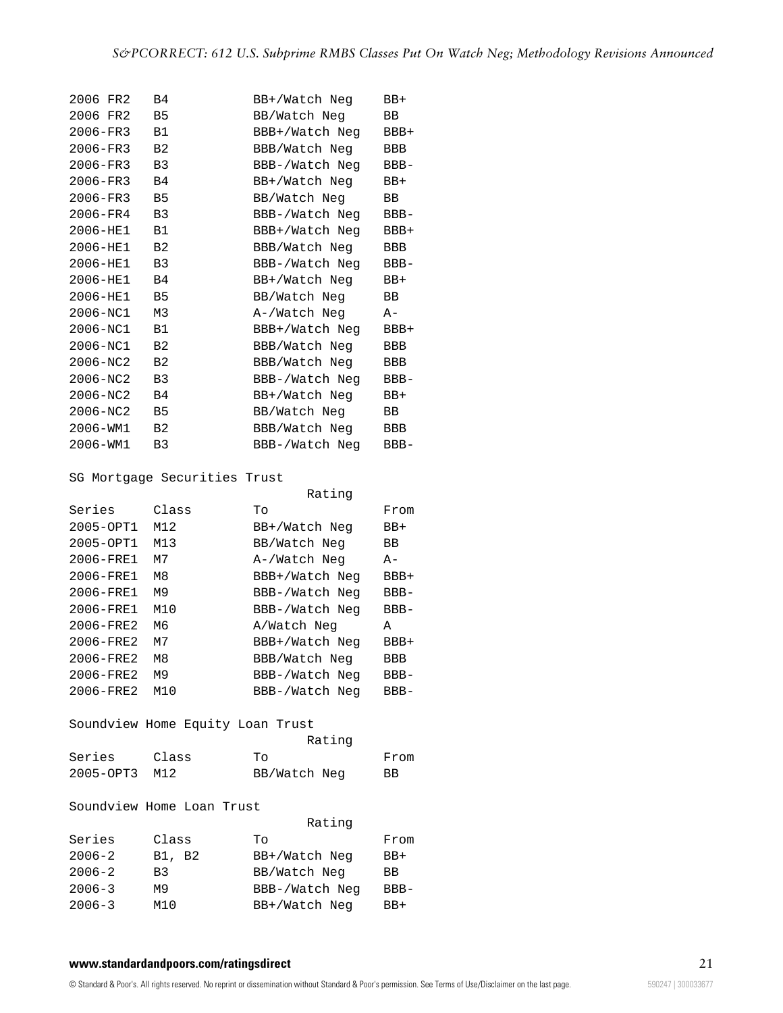| 2006 FR2 | Β4             | BB+/Watch Neg  | BB+       |
|----------|----------------|----------------|-----------|
| 2006 FR2 | B5             | BB/Watch Neg   | BB        |
| 2006-FR3 | B1             | BBB+/Watch Neg | BBB+      |
| 2006-FR3 | в2             | BBB/Watch Neg  | BBB       |
| 2006-FR3 | B3             | BBB-/Watch Neg | $BBB-$    |
| 2006-FR3 | <b>B4</b>      | BB+/Watch Neq  | BB+       |
| 2006-FR3 | <b>B5</b>      | BB/Watch Neg   | BB.       |
| 2006-FR4 | B <sub>3</sub> | BBB-/Watch Neq | $BBB -$   |
| 2006-HE1 | <b>B1</b>      | BBB+/Watch Neq | BBB+      |
| 2006-HE1 | B <sub>2</sub> | BBB/Watch Neg  | BBB       |
| 2006-HE1 | B3             | BBB-/Watch Neq | $BBB-$    |
| 2006-HE1 | B4             | BB+/Watch Neq  | $BB+$     |
| 2006-HE1 | <b>B5</b>      | BB/Watch Neg   | <b>BB</b> |
| 2006-NC1 | M3             | A-/Watch Neg   | A-        |
| 2006-NC1 | B1             | BBB+/Watch Neg | BBB+      |
| 2006-NC1 | B <sub>2</sub> | BBB/Watch Neg  | BBB       |
| 2006-NC2 | B2             | BBB/Watch Neg  | BBB       |
| 2006-NC2 | B3             | BBB-/Watch Neg | BBB-      |
| 2006-NC2 | Β4             | BB+/Watch Neg  | BB+       |
| 2006-NC2 | <b>B5</b>      | BB/Watch Neg   | BB        |
| 2006-WM1 | B2             | BBB/Watch Neg  | BBB       |
| 2006-WM1 | B3             | BBB-/Watch Neg | $BBB -$   |

SG Mortgage Securities Trust

|               |       | Rating         |         |
|---------------|-------|----------------|---------|
| Series        | Class | Tο             | From    |
| 2005-OPT1     | M12   | BB+/Watch Neg  | $BB+$   |
| 2005-OPT1     | M13   | BB/Watch Neg   | BB      |
| 2006-FRE1     | M7    | A-/Watch Neg   | A-      |
| $2006 - FRE1$ | M8    | BBB+/Watch Neg | $BBB+$  |
| 2006-FRE1     | M9    | BBB-/Watch Neg | $BBB -$ |
| $2006 - FRE1$ | M10   | BBB-/Watch Neg | $BBB -$ |
| $2006 - FRE2$ | M6    | A/Watch Neg    | А       |
| $2006 - FRE2$ | М7    | BBB+/Watch Neg | $BBB+$  |
| $2006 - FRE2$ | M8    | BBB/Watch Neg  | BBB     |
| $2006 - FRE2$ | M9    | BBB-/Watch Neg | $BBB -$ |
| $2006 - FRE2$ | M10   | BBB-/Watch Neg | $BBB-$  |

# Soundview Home Equity Loan Trust

|           |       | Rating       |      |
|-----------|-------|--------------|------|
| Series    | Class | TΟ           | From |
| 2005-OPT3 | M12   | BB/Watch Neg | ВB   |

### Soundview Home Loan Trust

|            |                | Rating         |        |
|------------|----------------|----------------|--------|
| Series     | Class          | Tο             | From   |
| $2006 - 2$ | B1, B2         | BB+/Watch Neg  | $BB+$  |
| $2006 - 2$ | B <sub>3</sub> | BB/Watch Neg   | BB     |
| $2006 - 3$ | м9             | BBB-/Watch Neq | $BBB-$ |
| $2006 - 3$ | M10            | BB+/Watch Neq  | $BB+$  |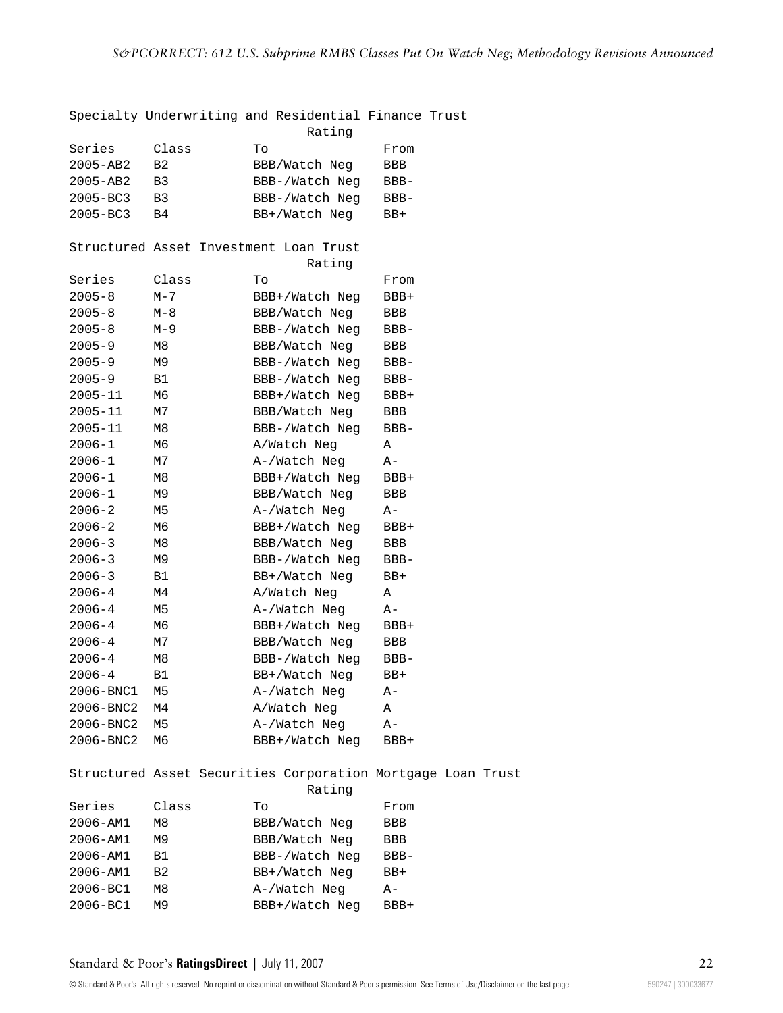|              |                | Specialty Underwriting and Residential Finance Trust<br>Rating        |         |  |
|--------------|----------------|-----------------------------------------------------------------------|---------|--|
| Series       | Class          | Τo                                                                    | From    |  |
| $2005 - AB2$ | B <sub>2</sub> | BBB/Watch Neg                                                         | BBB     |  |
| 2005-AB2     | B3             | BBB-/Watch Neg                                                        | BBB-    |  |
| $2005 - BC3$ | B3             | BBB-/Watch Neg                                                        | BBB-    |  |
| $2005 - BC3$ | B4             | BB+/Watch Neg                                                         | BB+     |  |
|              |                |                                                                       |         |  |
|              |                | Structured Asset Investment Loan Trust                                |         |  |
|              |                | Rating                                                                |         |  |
| Series       | Class          | Τo                                                                    | From    |  |
| $2005 - 8$   | $M - 7$        | BBB+/Watch Neg                                                        | BBB+    |  |
| $2005 - 8$   | $M-8$          | BBB/Watch Neg                                                         | BBB     |  |
| $2005 - 8$   | $M-9$          | BBB-/Watch Neg                                                        | BBB-    |  |
| $2005 - 9$   | M8             | BBB/Watch Neg                                                         | BBB     |  |
| $2005 - 9$   | М9             | BBB-/Watch Neg                                                        | BBB-    |  |
| $2005 - 9$   | B1             | BBB-/Watch Neg                                                        | BBB-    |  |
| $2005 - 11$  | М6             | BBB+/Watch Neg                                                        | BBB+    |  |
| $2005 - 11$  | М7             | BBB/Watch Neg                                                         | BBB     |  |
| $2005 - 11$  | M8             | BBB-/Watch Neg                                                        | BBB-    |  |
| $2006 - 1$   | М6             | A/Watch Neg                                                           | Α       |  |
| $2006 - 1$   | M7             | A-/Watch Neg                                                          |         |  |
|              |                |                                                                       | A-      |  |
| $2006 - 1$   | M8             | BBB+/Watch Neg                                                        | BBB+    |  |
| $2006 - 1$   | М9             | BBB/Watch Neg                                                         | BBB     |  |
| $2006 - 2$   | M5             | A-/Watch Neg                                                          | A-      |  |
| $2006 - 2$   | M6             | BBB+/Watch Neg                                                        | BBB+    |  |
| $2006 - 3$   | M8             | BBB/Watch Neg                                                         | BBB     |  |
| $2006 - 3$   | М9             | BBB-/Watch Neg                                                        | BBB-    |  |
| $2006 - 3$   | B1             | BB+/Watch Neg                                                         | BB+     |  |
| $2006 - 4$   | M4             | A/Watch Neg                                                           | Α       |  |
| $2006 - 4$   | M5             | A-/Watch Neg                                                          | A-      |  |
| $2006 - 4$   | M6             | BBB+/Watch Neg                                                        | BBB+    |  |
| $2006 - 4$   | M7             | BBB/Watch Neg                                                         | BBB     |  |
| $2006 - 4$   | M8             | BBB-/Watch Neg                                                        | $BBB -$ |  |
| $2006 - 4$   | B1             | BB+/Watch Neq                                                         | BB+     |  |
| 2006-BNC1    | M5             | A-/Watch Neg                                                          | A-      |  |
| 2006-BNC2    | M4             | A/Watch Neg                                                           | Α       |  |
| 2006-BNC2    | M <sub>5</sub> | A-/Watch Neg                                                          | A-      |  |
| 2006-BNC2    | M6             | BBB+/Watch Neg                                                        | BBB+    |  |
|              |                | Structured Asset Securities Corporation Mortgage Loan Trust<br>Rating |         |  |
| Series       | Class          | Τo                                                                    | From    |  |
| 2006-AM1     | M8             | BBB/Watch Neg                                                         | BBB     |  |
| 2006-AM1     | M9             | BBB/Watch Neg                                                         | BBB     |  |
| 2006-AM1     | B1             | BBB-/Watch Neg                                                        | BBB-    |  |
| 2006-AM1     | B <sub>2</sub> |                                                                       |         |  |
| 2006-BC1     |                | BB+/Watch Neg                                                         | BB+     |  |
|              | M8             | A-/Watch Neg                                                          | A-      |  |
| 2006-BC1     | M9             | BBB+/Watch Neg                                                        | BBB+    |  |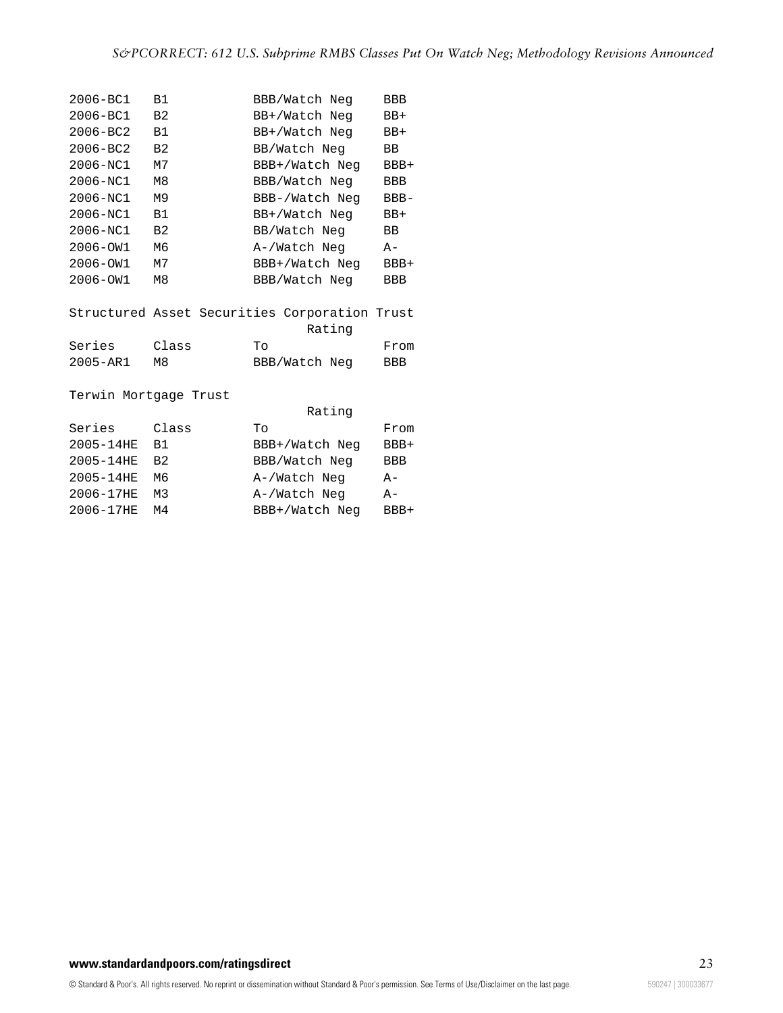| $2006 - BC1$ | B1             | BBB/Watch Neg  | BBB    |
|--------------|----------------|----------------|--------|
| $2006 - BC1$ | B <sub>2</sub> | BB+/Watch Neg  | $BB+$  |
| $2006 - BC2$ | B1             | BB+/Watch Neg  | $BB+$  |
| $2006 - BC2$ | B <sub>2</sub> | BB/Watch Neg   | ВB     |
| $2006 - NC1$ | м7             | BBB+/Watch Neg | $BBB+$ |
| $2006 - NC1$ | M8             | BBB/Watch Neg  | BBB    |
| $2006 - NC1$ | M9             | BBB-/Watch Neg | $BBB-$ |
| $2006 - NC1$ | B <sub>1</sub> | BB+/Watch Neg  | $BB+$  |
| $2006 - NC1$ | B <sub>2</sub> | BB/Watch Neg   | BB     |
| $2006 - 0W1$ | M6             | A-/Watch Neg   | $A -$  |
| $2006 - 0W1$ | М7             | BBB+/Watch Neg | BBB+   |
| $2006 - 0W1$ | M8             | BBB/Watch Neg  | BBB    |
|              |                |                |        |

|              |       |    | Structured Asset Securities Corporation Trust |      |
|--------------|-------|----|-----------------------------------------------|------|
|              |       |    | Rating                                        |      |
| Series       | Class | TΟ |                                               | From |
| $2005 - AR1$ | MЯ    |    | BBB/Watch Neg                                 | BBB. |

Terwin Mortgage Trust

|                | Rating         |        |
|----------------|----------------|--------|
| Class          | To             | From   |
| B <sub>1</sub> | BBB+/Watch Neq | $BBB+$ |
| B <sub>2</sub> | BBB/Watch Neg  | BBB    |
| Mб             | A-/Watch Neg   | $A -$  |
| M3             | A-/Watch Neg   | $A -$  |
| M4             | BBB+/Watch Neg | $BBB+$ |
|                |                |        |